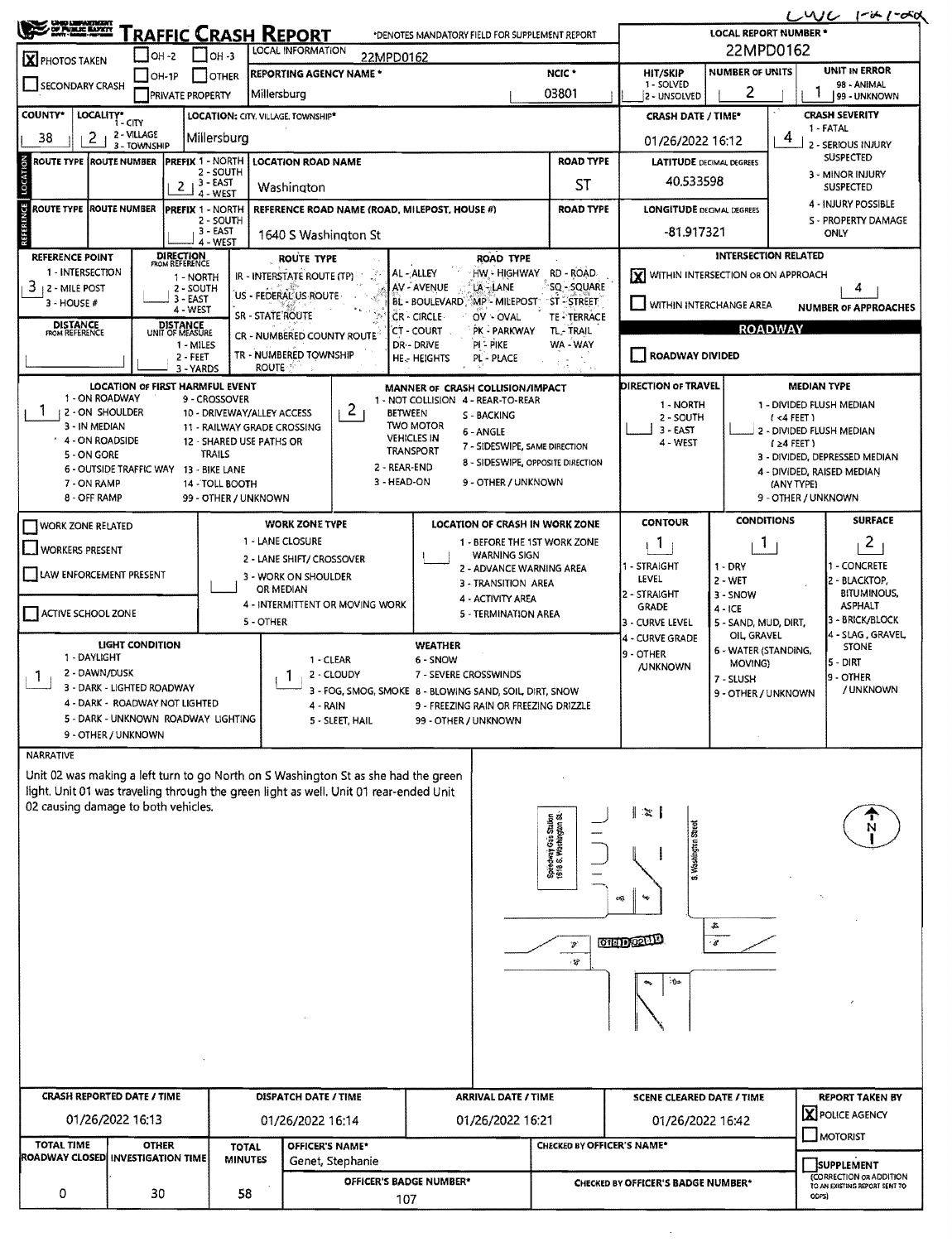| <b>UNIO LIBRATIVEERT</b><br>OF PUBLIC BARKY<br><u>RAFFIC CRASH REPORT</u><br>*DENOTES MANDATORY FIELD FOR SUPPLEMENT REPORT  |                                |                                                           |                                           |                                                                                                   |                                    |                |                                                                        |                                               |                                      | LWL<br>1-ih 1-osol<br><b>LOCAL REPORT NUMBER *</b> |                                                          |                                                  |  |  |  |  |
|------------------------------------------------------------------------------------------------------------------------------|--------------------------------|-----------------------------------------------------------|-------------------------------------------|---------------------------------------------------------------------------------------------------|------------------------------------|----------------|------------------------------------------------------------------------|-----------------------------------------------|--------------------------------------|----------------------------------------------------|----------------------------------------------------------|--------------------------------------------------|--|--|--|--|
|                                                                                                                              | $\blacksquare$ OH -2           | $\Box$ OH -3                                              | LOCAL INFORMATION                         |                                                                                                   | 22MPD0162                          |                |                                                                        |                                               |                                      |                                                    |                                                          |                                                  |  |  |  |  |
| <b>X</b> PHOTOS TAKEN                                                                                                        | $\Box$ OH-1P                   | <b>OTHER</b>                                              |                                           | <b>REPORTING AGENCY NAME *</b>                                                                    |                                    |                |                                                                        | NCIC <sup>+</sup>                             | <b>HIT/SKIP</b>                      | <b>NUMBER OF UNITS</b>                             | UNIT IN ERROR                                            |                                                  |  |  |  |  |
| SECONDARY CRASH                                                                                                              |                                | <b>PRIVATE PROPERTY</b>                                   | Millersburg                               |                                                                                                   |                                    |                |                                                                        | 03801                                         | 1 - SOLVED<br>2 - UNSOLVED           | 2                                                  | 98 - ANIMAL<br>99 - UNKNOWN                              |                                                  |  |  |  |  |
| <b>COUNTY*</b>                                                                                                               | LOCALITY* CITY                 | LOCATION: CITY. VILLAGE. TOWNSHIP*                        |                                           |                                                                                                   |                                    |                |                                                                        |                                               | <b>CRASH DATE / TIME*</b>            | <b>CRASH SEVERITY</b><br>1 - FATAL                 |                                                          |                                                  |  |  |  |  |
| 2<br>38                                                                                                                      | 2 - VILLAGE<br>3 - TOWNSHIP    | Millersburg                                               |                                           |                                                                                                   |                                    |                |                                                                        |                                               | 01/26/2022 16:12                     | 2 - SERIOUS INJURY                                 |                                                          |                                                  |  |  |  |  |
| LOCATION<br><b>ROUTE TYPE ROUTE NUMBER</b>                                                                                   |                                | PREFIX 1 - NORTH<br>2 - SOUTH                             | <b>LOCATION ROAD NAME</b>                 |                                                                                                   |                                    |                |                                                                        | <b>ROAD TYPE</b>                              | <b>LATITUDE</b> DECIMAL DEGREES      | <b>SUSPECTED</b><br>3 - MINOR INJURY               |                                                          |                                                  |  |  |  |  |
|                                                                                                                              |                                | $3 - EAST$<br>2 <sub>1</sub><br>4 - WEST                  | Washington                                |                                                                                                   |                                    |                |                                                                        | <b>ST</b>                                     | 40.533598                            |                                                    |                                                          | <b>SUSPECTED</b>                                 |  |  |  |  |
| ROUTE TYPE ROUTE NUMBER                                                                                                      |                                | PREFIX 1 - NORTH<br>2 - SOUTH                             |                                           | REFERENCE ROAD NAME (ROAD, MILEPOST, HOUSE #)                                                     |                                    |                |                                                                        | <b>ROAD TYPE</b>                              | <b>LONGITUDE DECIMAL DEGREES</b>     |                                                    |                                                          | 4 - INJURY POSSIBLE<br>S - PROPERTY DAMAGE       |  |  |  |  |
| REFERENCE                                                                                                                    |                                | 3 - EAST<br>4 - WEST                                      | 1640 S Washington St                      |                                                                                                   |                                    |                |                                                                        |                                               | -81.917321<br>ONLY                   |                                                    |                                                          |                                                  |  |  |  |  |
| <b>REFERENCE POINT</b>                                                                                                       |                                | <b>DIRECTION</b><br>FROM REFERENCE                        |                                           | ROUTE TYPE                                                                                        |                                    |                | ROAD TYPE                                                              |                                               |                                      | <b>INTERSECTION RELATED</b>                        |                                                          |                                                  |  |  |  |  |
| 1 - INTERSECTION<br>3<br>12 - MILE POST                                                                                      |                                | 1 - NORTH<br>2 - SOUTH                                    | IR - INTERSTATE ROUTE (TP)                |                                                                                                   | AL-ALLEY<br>AV - AVENUE            |                | HW - HIGHWAY<br>LA-LANE                                                | RD - ROAD<br>SQ - SQUARE                      | X WITHIN INTERSECTION OR ON APPROACH |                                                    |                                                          | 4                                                |  |  |  |  |
| 3 - HOUSE #                                                                                                                  |                                | 3 - EAST<br>4 - WEST                                      | US - FEDERAL US ROUTE<br>SR - STATE ROUTE |                                                                                                   |                                    |                | BL - BOULEVARD, MP - MILEPOST<br>OV - OVAL                             | "ST - "STREET"                                | WITHIN INTERCHANGE AREA              |                                                    |                                                          | <b>NUMBER OF APPROACHES</b>                      |  |  |  |  |
| <b>DISTANCE</b><br><b>FROM REFERENCE</b>                                                                                     |                                | DISTANCE<br>UNIT OF MEASURE                               |                                           | CR - NUMBERED COUNTY ROUTE                                                                        | CR - CIRCLE<br>CT - COURT          |                | PK - PARKWAY                                                           | TE - TERRACE<br>TL-TRAIL                      |                                      |                                                    | <b>ROADWAY</b>                                           |                                                  |  |  |  |  |
|                                                                                                                              |                                | 1 - MILES<br>2 - FEET                                     | TR - NUMBERED TOWNSHIP                    |                                                                                                   | DR - DRIVE<br><b>HE.- HEIGHTS</b>  |                | <b>PI - PIKE</b><br>PL - PLACE                                         | WA - WAY                                      | <b>ROADWAY DIVIDED</b>               |                                                    |                                                          |                                                  |  |  |  |  |
|                                                                                                                              |                                | 3 - YARDS<br>LOCATION OF FIRST HARMFUL EVENT              | <b>ROUTE</b>                              |                                                                                                   |                                    |                |                                                                        |                                               | DIRECTION OF TRAVEL                  |                                                    |                                                          | <b>MEDIAN TYPE</b>                               |  |  |  |  |
| 1 - ON ROADWAY                                                                                                               |                                | 9 - CROSSOVER                                             |                                           |                                                                                                   |                                    |                | MANNER OF CRASH COLLISION/IMPACT<br>1 - NOT COLLISION 4 - REAR-TO-REAR |                                               | 1 - NORTH                            |                                                    |                                                          | 1 - DIVIDED FLUSH MEDIAN                         |  |  |  |  |
| <b>12 - ON SHOULDER</b><br>3 - IN MEDIAN                                                                                     |                                | 10 - DRIVEWAY/ALLEY ACCESS<br>11 - RAILWAY GRADE CROSSING |                                           | $\binom{2}{3}$                                                                                    | <b>BETWEEN</b><br><b>TWO MOTOR</b> |                | S - BACKING<br>6 - ANGLE                                               |                                               | 2 - SOUTH<br>$3 - EAST$              |                                                    | (4FET)                                                   | 2 - DIVIDED FLUSH MEDIAN                         |  |  |  |  |
| 4 - ON ROADSIDE<br>5 - ON GORE                                                                                               |                                | 12 - SHARED USE PATHS OR<br><b>TRAILS</b>                 |                                           |                                                                                                   | <b>VEHICLES IN</b><br>TRANSPORT    |                | 7 - SIDESWIPE, SAME DIRECTION                                          |                                               | 4 - WEST                             |                                                    | $1 \geq 4$ FEET)<br>3 - DIVIDED, DEPRESSED MEDIAN        |                                                  |  |  |  |  |
|                                                                                                                              |                                | 6 - OUTSIDE TRAFFIC WAY 13 - BIKE LANE                    |                                           |                                                                                                   | 2 - REAR-END                       |                | 8 - SIDESWIPE, OPPOSITE DIRECTION                                      |                                               |                                      |                                                    |                                                          | 4 - DIVIDED, RAISED MEDIAN                       |  |  |  |  |
| 7 - ON RAMP<br>8 - OFF RAMP                                                                                                  |                                | 14 - TOLL BOOTH<br>99 - OTHER / UNKNOWN                   |                                           |                                                                                                   | 3 - HEAD-ON                        |                | 9 - OTHER / UNKNOWN                                                    |                                               |                                      |                                                    | (ANY TYPE)<br>9 - OTHER / UNKNOWN                        |                                                  |  |  |  |  |
| WORK ZONE RELATED                                                                                                            |                                |                                                           | <b>WORK ZONE TYPE</b>                     |                                                                                                   |                                    |                | LOCATION OF CRASH IN WORK ZONE                                         |                                               | <b>CONTOUR</b>                       | <b>CONDITIONS</b>                                  |                                                          | <b>SURFACE</b>                                   |  |  |  |  |
| WORKERS PRESENT                                                                                                              |                                |                                                           | 1 - LANE CLOSURE                          |                                                                                                   |                                    |                | 1 - BEFORE THE 1ST WORK ZONE                                           |                                               | $\mathbf{1}$                         | 1                                                  |                                                          | $\mathbf{2}$                                     |  |  |  |  |
| LAW ENFORCEMENT PRESENT                                                                                                      |                                |                                                           | 2 - LANE SHIFT/ CROSSOVER                 |                                                                                                   |                                    |                | <b>WARNING SIGN</b><br>2 - ADVANCE WARNING AREA                        |                                               | 1 - STRAIGHT                         | $1 - DRY$<br>$2 - WET$                             |                                                          | - CONCRETE                                       |  |  |  |  |
|                                                                                                                              |                                |                                                           | 3 - WORK ON SHOULDER<br>OR MEDIAN         |                                                                                                   |                                    |                | 3 - TRANSITION AREA<br>4 - ACTIVITY AREA                               |                                               | LEVEL<br>2 - STRAIGHT                | 2 - BLACKTOP,<br><b>BITUMINOUS,</b>                |                                                          |                                                  |  |  |  |  |
| ACTIVE SCHOOL ZONE                                                                                                           |                                |                                                           | 5 - OTHER                                 | 4 - INTERMITTENT OR MOVING WORK                                                                   |                                    |                | 5 - TERMINATION AREA                                                   |                                               | <b>GRADE</b><br>3 - CURVE LEVEL      | $4 - ICE$<br>5 - SAND, MUD, DIRT,                  |                                                          | <b>ASPHALT</b><br>3 - BRICK/BLOCK                |  |  |  |  |
|                                                                                                                              | <b>LIGHT CONDITION</b>         |                                                           |                                           |                                                                                                   |                                    | <b>WEATHER</b> |                                                                        |                                               | <b>4 - CURVE GRADE</b>               | OIL GRAVEL                                         |                                                          | 4 - SLAG, GRAVEL<br><b>STONE</b>                 |  |  |  |  |
| 1 - DAYLIGHT                                                                                                                 |                                |                                                           |                                           | 1 - CLEAR                                                                                         |                                    | 6 - SNOW       |                                                                        |                                               | 9 - OTHER<br><b>/UNKNOWN</b>         | 6 - WATER (STANDING,<br>MOVING)                    |                                                          | 5 - DIRT                                         |  |  |  |  |
| 2 - DAWN/DUSK<br>1                                                                                                           | 3 - DARK - LIGHTED ROADWAY     |                                                           |                                           | 2 - CLOUDY<br>3 - FOG, SMOG, SMOKE 8 - BLOWING SAND, SOIL DIRT, SNOW                              |                                    |                | 7 - SEVERE CROSSWINDS                                                  |                                               |                                      | 7 - SLUSH<br>9 - OTHER / UNKNOWN                   |                                                          | 19 - OTHER<br>/ UNKNOWN                          |  |  |  |  |
|                                                                                                                              | 4 - DARK - ROADWAY NOT LIGHTED |                                                           |                                           | 4 - RAIN                                                                                          |                                    |                | 9 - FREEZING RAIN OR FREEZING DRIZZLE                                  |                                               |                                      |                                                    |                                                          |                                                  |  |  |  |  |
|                                                                                                                              | 9 - OTHER / UNKNOWN            | 5 - DARK - UNKNOWN ROADWAY LIGHTING                       |                                           | 5 - SLEET, HAIL                                                                                   |                                    |                | 99 - OTHER / UNKNOWN                                                   |                                               |                                      |                                                    |                                                          |                                                  |  |  |  |  |
| NARRATIVE                                                                                                                    |                                |                                                           |                                           |                                                                                                   |                                    |                |                                                                        |                                               |                                      |                                                    |                                                          |                                                  |  |  |  |  |
| Unit 02 was making a left turn to go North on S Washington St as she had the green                                           |                                |                                                           |                                           |                                                                                                   |                                    |                |                                                                        |                                               |                                      |                                                    |                                                          |                                                  |  |  |  |  |
| light. Unit 01 was traveling through the green light as well. Unit 01 rear-ended Unit<br>02 causing damage to both vehicles. |                                |                                                           |                                           |                                                                                                   |                                    |                |                                                                        |                                               |                                      |                                                    |                                                          |                                                  |  |  |  |  |
|                                                                                                                              |                                |                                                           |                                           |                                                                                                   |                                    |                |                                                                        |                                               | ं≈ ।                                 |                                                    |                                                          |                                                  |  |  |  |  |
|                                                                                                                              |                                |                                                           |                                           |                                                                                                   |                                    |                |                                                                        | Spiedway Gas Station<br>1618 S. Washington St | S. Washington Street                 |                                                    |                                                          |                                                  |  |  |  |  |
|                                                                                                                              |                                |                                                           |                                           |                                                                                                   |                                    |                |                                                                        |                                               |                                      |                                                    |                                                          |                                                  |  |  |  |  |
|                                                                                                                              |                                |                                                           |                                           |                                                                                                   |                                    |                |                                                                        |                                               | eQ.                                  |                                                    |                                                          |                                                  |  |  |  |  |
|                                                                                                                              |                                |                                                           |                                           |                                                                                                   |                                    |                |                                                                        |                                               |                                      | 各                                                  |                                                          |                                                  |  |  |  |  |
|                                                                                                                              |                                |                                                           |                                           |                                                                                                   |                                    |                |                                                                        | $\mathcal{D}^{\prime}$                        | <b>CHID CELLED</b>                   | $\epsilon$                                         |                                                          |                                                  |  |  |  |  |
|                                                                                                                              |                                |                                                           |                                           |                                                                                                   |                                    |                |                                                                        | ۰s                                            |                                      |                                                    |                                                          |                                                  |  |  |  |  |
|                                                                                                                              |                                |                                                           |                                           |                                                                                                   |                                    |                |                                                                        |                                               | ்0்⊭                                 |                                                    |                                                          |                                                  |  |  |  |  |
|                                                                                                                              |                                |                                                           |                                           |                                                                                                   |                                    |                |                                                                        |                                               |                                      |                                                    |                                                          |                                                  |  |  |  |  |
|                                                                                                                              |                                |                                                           |                                           |                                                                                                   |                                    |                |                                                                        |                                               |                                      |                                                    |                                                          |                                                  |  |  |  |  |
|                                                                                                                              |                                |                                                           |                                           |                                                                                                   |                                    |                |                                                                        |                                               |                                      |                                                    |                                                          |                                                  |  |  |  |  |
| <b>CRASH REPORTED DATE / TIME</b>                                                                                            |                                |                                                           |                                           |                                                                                                   |                                    |                |                                                                        |                                               | <b>SCENE CLEARED DATE / TIME</b>     |                                                    |                                                          |                                                  |  |  |  |  |
|                                                                                                                              | 01/26/2022 16:13               |                                                           |                                           | <b>DISPATCH DATE / TIME</b><br><b>ARRIVAL DATE / TIME</b><br>01/26/2022 16:21<br>01/26/2022 16:14 |                                    |                |                                                                        |                                               | 01/26/2022 16:42                     |                                                    |                                                          | <b>REPORT TAKEN BY</b><br><b>X</b> POLICE AGENCY |  |  |  |  |
| <b>TOTAL TIME</b>                                                                                                            |                                |                                                           |                                           |                                                                                                   |                                    |                |                                                                        |                                               |                                      |                                                    |                                                          | MOTORIST                                         |  |  |  |  |
| ROADWAY CLOSED INVESTIGATION TIME                                                                                            | <b>OTHER</b>                   | <b>TOTAL</b><br><b>MINUTES</b>                            |                                           | OFFICER'S NAME*<br>Genet, Stephanie                                                               |                                    |                |                                                                        | CHECKED BY OFFICER'S NAME*                    |                                      |                                                    |                                                          | SUPPLEMENT                                       |  |  |  |  |
|                                                                                                                              |                                |                                                           |                                           |                                                                                                   | OFFICER'S BADGE NUMBER*            |                |                                                                        |                                               | CHECKED BY OFFICER'S BADGE NUMBER*   |                                                    | (CORRECTION OR ADDITION<br>TO AN EXISTING REPORT SENT TO |                                                  |  |  |  |  |
| 0                                                                                                                            | 30                             | 58                                                        |                                           |                                                                                                   | 107                                |                |                                                                        |                                               |                                      |                                                    | ODPS)                                                    |                                                  |  |  |  |  |

 $\bar{z}$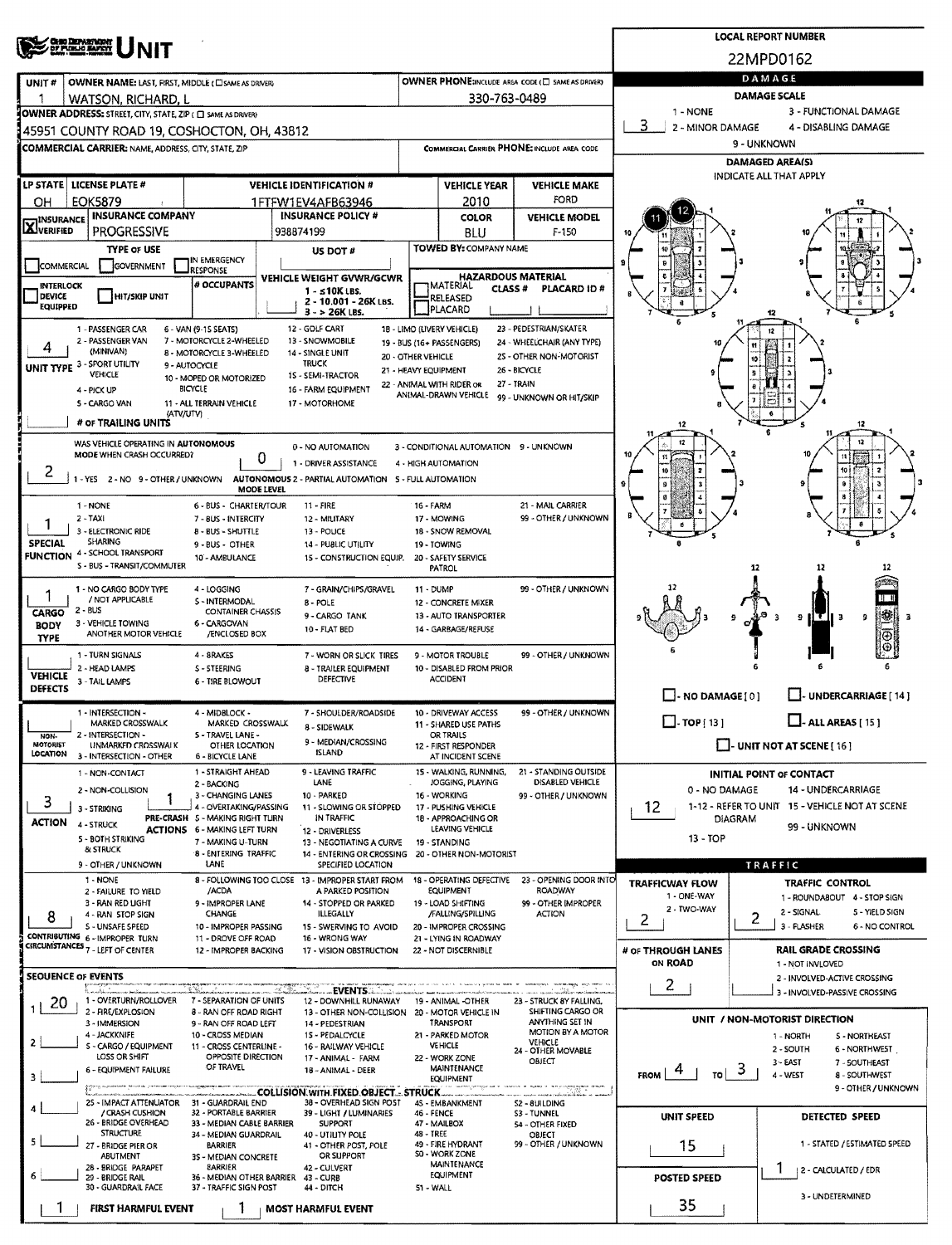|                                      |                                                                                                                                                                                                                                                                                                                                                                                                                                                                                                                                                                                                                                                                                                                                                                                                                                                                                                                                                                                                                                                                                                                                                                                                                                                                                                                                                                                                                                                                                                                                                                                                                                                                                                                                                                                                                                                                                                                                                                                                                                                                                                                                                                                                                                                                                                                                                                                                                                                                                                                                                                                                                                                                                                                                                                                                                                                                                                                                                                                                                                                                                                                                                                                                                                                                                                                                                                                                                                                                                                                                                                                                                                                                                                                                                                                                                                                                                                                                                                                                                                                                                                                                                                                                                                                                                                                                                                                                                                                                                                                                                                                                                                                                                                                                                                                                                                                                                                                                                                                                                                                                                                                                                                                                                                                                                                                                                                                                                                                                                                                                                                                                                                                                                                                                                                                                                                                                                                                                                                                                                                                                                                                                                                                                                                                                                                                                                                                                                                                                                                                                                                                                                                                                                                                                                                                                                                                                                           |  |                           | <b>LOCAL REPORT NUMBER</b> |                        |                      |                     |                       |  |  |  |  |  |  |
|--------------------------------------|-------------------------------------------------------------------------------------------------------------------------------------------------------------------------------------------------------------------------------------------------------------------------------------------------------------------------------------------------------------------------------------------------------------------------------------------------------------------------------------------------------------------------------------------------------------------------------------------------------------------------------------------------------------------------------------------------------------------------------------------------------------------------------------------------------------------------------------------------------------------------------------------------------------------------------------------------------------------------------------------------------------------------------------------------------------------------------------------------------------------------------------------------------------------------------------------------------------------------------------------------------------------------------------------------------------------------------------------------------------------------------------------------------------------------------------------------------------------------------------------------------------------------------------------------------------------------------------------------------------------------------------------------------------------------------------------------------------------------------------------------------------------------------------------------------------------------------------------------------------------------------------------------------------------------------------------------------------------------------------------------------------------------------------------------------------------------------------------------------------------------------------------------------------------------------------------------------------------------------------------------------------------------------------------------------------------------------------------------------------------------------------------------------------------------------------------------------------------------------------------------------------------------------------------------------------------------------------------------------------------------------------------------------------------------------------------------------------------------------------------------------------------------------------------------------------------------------------------------------------------------------------------------------------------------------------------------------------------------------------------------------------------------------------------------------------------------------------------------------------------------------------------------------------------------------------------------------------------------------------------------------------------------------------------------------------------------------------------------------------------------------------------------------------------------------------------------------------------------------------------------------------------------------------------------------------------------------------------------------------------------------------------------------------------------------------------------------------------------------------------------------------------------------------------------------------------------------------------------------------------------------------------------------------------------------------------------------------------------------------------------------------------------------------------------------------------------------------------------------------------------------------------------------------------------------------------------------------------------------------------------------------------------------------------------------------------------------------------------------------------------------------------------------------------------------------------------------------------------------------------------------------------------------------------------------------------------------------------------------------------------------------------------------------------------------------------------------------------------------------------------------------------------------------------------------------------------------------------------------------------------------------------------------------------------------------------------------------------------------------------------------------------------------------------------------------------------------------------------------------------------------------------------------------------------------------------------------------------------------------------------------------------------------------------------------------------------------------------------------------------------------------------------------------------------------------------------------------------------------------------------------------------------------------------------------------------------------------------------------------------------------------------------------------------------------------------------------------------------------------------------------------------------------------------------------------------------------------------------------------------------------------------------------------------------------------------------------------------------------------------------------------------------------------------------------------------------------------------------------------------------------------------------------------------------------------------------------------------------------------------------------------------------------------------------------------------------------------------------------------------------------------------------------------------------------------------------------------------------------------------------------------------------------------------------------------------------------------------------------------------------------------------------------------------------------------------------------------------------------------------------------------------------------------------------------------------------------------------------------------------------------------------|--|---------------------------|----------------------------|------------------------|----------------------|---------------------|-----------------------|--|--|--|--|--|--|
|                                      |                                                                                                                                                                                                                                                                                                                                                                                                                                                                                                                                                                                                                                                                                                                                                                                                                                                                                                                                                                                                                                                                                                                                                                                                                                                                                                                                                                                                                                                                                                                                                                                                                                                                                                                                                                                                                                                                                                                                                                                                                                                                                                                                                                                                                                                                                                                                                                                                                                                                                                                                                                                                                                                                                                                                                                                                                                                                                                                                                                                                                                                                                                                                                                                                                                                                                                                                                                                                                                                                                                                                                                                                                                                                                                                                                                                                                                                                                                                                                                                                                                                                                                                                                                                                                                                                                                                                                                                                                                                                                                                                                                                                                                                                                                                                                                                                                                                                                                                                                                                                                                                                                                                                                                                                                                                                                                                                                                                                                                                                                                                                                                                                                                                                                                                                                                                                                                                                                                                                                                                                                                                                                                                                                                                                                                                                                                                                                                                                                                                                                                                                                                                                                                                                                                                                                                                                                                                                                           |  |                           |                            |                        |                      |                     |                       |  |  |  |  |  |  |
| UNIT#                                |                                                                                                                                                                                                                                                                                                                                                                                                                                                                                                                                                                                                                                                                                                                                                                                                                                                                                                                                                                                                                                                                                                                                                                                                                                                                                                                                                                                                                                                                                                                                                                                                                                                                                                                                                                                                                                                                                                                                                                                                                                                                                                                                                                                                                                                                                                                                                                                                                                                                                                                                                                                                                                                                                                                                                                                                                                                                                                                                                                                                                                                                                                                                                                                                                                                                                                                                                                                                                                                                                                                                                                                                                                                                                                                                                                                                                                                                                                                                                                                                                                                                                                                                                                                                                                                                                                                                                                                                                                                                                                                                                                                                                                                                                                                                                                                                                                                                                                                                                                                                                                                                                                                                                                                                                                                                                                                                                                                                                                                                                                                                                                                                                                                                                                                                                                                                                                                                                                                                                                                                                                                                                                                                                                                                                                                                                                                                                                                                                                                                                                                                                                                                                                                                                                                                                                                                                                                                                           |  |                           |                            |                        |                      | DAMAGE              |                       |  |  |  |  |  |  |
|                                      |                                                                                                                                                                                                                                                                                                                                                                                                                                                                                                                                                                                                                                                                                                                                                                                                                                                                                                                                                                                                                                                                                                                                                                                                                                                                                                                                                                                                                                                                                                                                                                                                                                                                                                                                                                                                                                                                                                                                                                                                                                                                                                                                                                                                                                                                                                                                                                                                                                                                                                                                                                                                                                                                                                                                                                                                                                                                                                                                                                                                                                                                                                                                                                                                                                                                                                                                                                                                                                                                                                                                                                                                                                                                                                                                                                                                                                                                                                                                                                                                                                                                                                                                                                                                                                                                                                                                                                                                                                                                                                                                                                                                                                                                                                                                                                                                                                                                                                                                                                                                                                                                                                                                                                                                                                                                                                                                                                                                                                                                                                                                                                                                                                                                                                                                                                                                                                                                                                                                                                                                                                                                                                                                                                                                                                                                                                                                                                                                                                                                                                                                                                                                                                                                                                                                                                                                                                                                                           |  |                           |                            |                        |                      | <b>DAMAGE SCALE</b> |                       |  |  |  |  |  |  |
|                                      |                                                                                                                                                                                                                                                                                                                                                                                                                                                                                                                                                                                                                                                                                                                                                                                                                                                                                                                                                                                                                                                                                                                                                                                                                                                                                                                                                                                                                                                                                                                                                                                                                                                                                                                                                                                                                                                                                                                                                                                                                                                                                                                                                                                                                                                                                                                                                                                                                                                                                                                                                                                                                                                                                                                                                                                                                                                                                                                                                                                                                                                                                                                                                                                                                                                                                                                                                                                                                                                                                                                                                                                                                                                                                                                                                                                                                                                                                                                                                                                                                                                                                                                                                                                                                                                                                                                                                                                                                                                                                                                                                                                                                                                                                                                                                                                                                                                                                                                                                                                                                                                                                                                                                                                                                                                                                                                                                                                                                                                                                                                                                                                                                                                                                                                                                                                                                                                                                                                                                                                                                                                                                                                                                                                                                                                                                                                                                                                                                                                                                                                                                                                                                                                                                                                                                                                                                                                                                           |  |                           |                            |                        |                      | 1 - NONE            | 3 - FUNCTIONAL DAMAGE |  |  |  |  |  |  |
|                                      |                                                                                                                                                                                                                                                                                                                                                                                                                                                                                                                                                                                                                                                                                                                                                                                                                                                                                                                                                                                                                                                                                                                                                                                                                                                                                                                                                                                                                                                                                                                                                                                                                                                                                                                                                                                                                                                                                                                                                                                                                                                                                                                                                                                                                                                                                                                                                                                                                                                                                                                                                                                                                                                                                                                                                                                                                                                                                                                                                                                                                                                                                                                                                                                                                                                                                                                                                                                                                                                                                                                                                                                                                                                                                                                                                                                                                                                                                                                                                                                                                                                                                                                                                                                                                                                                                                                                                                                                                                                                                                                                                                                                                                                                                                                                                                                                                                                                                                                                                                                                                                                                                                                                                                                                                                                                                                                                                                                                                                                                                                                                                                                                                                                                                                                                                                                                                                                                                                                                                                                                                                                                                                                                                                                                                                                                                                                                                                                                                                                                                                                                                                                                                                                                                                                                                                                                                                                                                           |  |                           |                            |                        |                      |                     |                       |  |  |  |  |  |  |
|                                      |                                                                                                                                                                                                                                                                                                                                                                                                                                                                                                                                                                                                                                                                                                                                                                                                                                                                                                                                                                                                                                                                                                                                                                                                                                                                                                                                                                                                                                                                                                                                                                                                                                                                                                                                                                                                                                                                                                                                                                                                                                                                                                                                                                                                                                                                                                                                                                                                                                                                                                                                                                                                                                                                                                                                                                                                                                                                                                                                                                                                                                                                                                                                                                                                                                                                                                                                                                                                                                                                                                                                                                                                                                                                                                                                                                                                                                                                                                                                                                                                                                                                                                                                                                                                                                                                                                                                                                                                                                                                                                                                                                                                                                                                                                                                                                                                                                                                                                                                                                                                                                                                                                                                                                                                                                                                                                                                                                                                                                                                                                                                                                                                                                                                                                                                                                                                                                                                                                                                                                                                                                                                                                                                                                                                                                                                                                                                                                                                                                                                                                                                                                                                                                                                                                                                                                                                                                                                                           |  |                           |                            |                        |                      |                     |                       |  |  |  |  |  |  |
|                                      |                                                                                                                                                                                                                                                                                                                                                                                                                                                                                                                                                                                                                                                                                                                                                                                                                                                                                                                                                                                                                                                                                                                                                                                                                                                                                                                                                                                                                                                                                                                                                                                                                                                                                                                                                                                                                                                                                                                                                                                                                                                                                                                                                                                                                                                                                                                                                                                                                                                                                                                                                                                                                                                                                                                                                                                                                                                                                                                                                                                                                                                                                                                                                                                                                                                                                                                                                                                                                                                                                                                                                                                                                                                                                                                                                                                                                                                                                                                                                                                                                                                                                                                                                                                                                                                                                                                                                                                                                                                                                                                                                                                                                                                                                                                                                                                                                                                                                                                                                                                                                                                                                                                                                                                                                                                                                                                                                                                                                                                                                                                                                                                                                                                                                                                                                                                                                                                                                                                                                                                                                                                                                                                                                                                                                                                                                                                                                                                                                                                                                                                                                                                                                                                                                                                                                                                                                                                                                           |  |                           |                            |                        |                      |                     |                       |  |  |  |  |  |  |
|                                      |                                                                                                                                                                                                                                                                                                                                                                                                                                                                                                                                                                                                                                                                                                                                                                                                                                                                                                                                                                                                                                                                                                                                                                                                                                                                                                                                                                                                                                                                                                                                                                                                                                                                                                                                                                                                                                                                                                                                                                                                                                                                                                                                                                                                                                                                                                                                                                                                                                                                                                                                                                                                                                                                                                                                                                                                                                                                                                                                                                                                                                                                                                                                                                                                                                                                                                                                                                                                                                                                                                                                                                                                                                                                                                                                                                                                                                                                                                                                                                                                                                                                                                                                                                                                                                                                                                                                                                                                                                                                                                                                                                                                                                                                                                                                                                                                                                                                                                                                                                                                                                                                                                                                                                                                                                                                                                                                                                                                                                                                                                                                                                                                                                                                                                                                                                                                                                                                                                                                                                                                                                                                                                                                                                                                                                                                                                                                                                                                                                                                                                                                                                                                                                                                                                                                                                                                                                                                                           |  |                           |                            |                        |                      |                     |                       |  |  |  |  |  |  |
|                                      |                                                                                                                                                                                                                                                                                                                                                                                                                                                                                                                                                                                                                                                                                                                                                                                                                                                                                                                                                                                                                                                                                                                                                                                                                                                                                                                                                                                                                                                                                                                                                                                                                                                                                                                                                                                                                                                                                                                                                                                                                                                                                                                                                                                                                                                                                                                                                                                                                                                                                                                                                                                                                                                                                                                                                                                                                                                                                                                                                                                                                                                                                                                                                                                                                                                                                                                                                                                                                                                                                                                                                                                                                                                                                                                                                                                                                                                                                                                                                                                                                                                                                                                                                                                                                                                                                                                                                                                                                                                                                                                                                                                                                                                                                                                                                                                                                                                                                                                                                                                                                                                                                                                                                                                                                                                                                                                                                                                                                                                                                                                                                                                                                                                                                                                                                                                                                                                                                                                                                                                                                                                                                                                                                                                                                                                                                                                                                                                                                                                                                                                                                                                                                                                                                                                                                                                                                                                                                           |  | <b>INSURANCE POLICY #</b> |                            | COLOR                  | <b>VEHICLE MODEL</b> |                     |                       |  |  |  |  |  |  |
| <b>AJVERIFIED</b>                    | <b>PROGRESSIVE</b>                                                                                                                                                                                                                                                                                                                                                                                                                                                                                                                                                                                                                                                                                                                                                                                                                                                                                                                                                                                                                                                                                                                                                                                                                                                                                                                                                                                                                                                                                                                                                                                                                                                                                                                                                                                                                                                                                                                                                                                                                                                                                                                                                                                                                                                                                                                                                                                                                                                                                                                                                                                                                                                                                                                                                                                                                                                                                                                                                                                                                                                                                                                                                                                                                                                                                                                                                                                                                                                                                                                                                                                                                                                                                                                                                                                                                                                                                                                                                                                                                                                                                                                                                                                                                                                                                                                                                                                                                                                                                                                                                                                                                                                                                                                                                                                                                                                                                                                                                                                                                                                                                                                                                                                                                                                                                                                                                                                                                                                                                                                                                                                                                                                                                                                                                                                                                                                                                                                                                                                                                                                                                                                                                                                                                                                                                                                                                                                                                                                                                                                                                                                                                                                                                                                                                                                                                                                                        |  | 938874199                 |                            | BLU                    | $F-150$              |                     |                       |  |  |  |  |  |  |
|                                      | TYPE OF USE                                                                                                                                                                                                                                                                                                                                                                                                                                                                                                                                                                                                                                                                                                                                                                                                                                                                                                                                                                                                                                                                                                                                                                                                                                                                                                                                                                                                                                                                                                                                                                                                                                                                                                                                                                                                                                                                                                                                                                                                                                                                                                                                                                                                                                                                                                                                                                                                                                                                                                                                                                                                                                                                                                                                                                                                                                                                                                                                                                                                                                                                                                                                                                                                                                                                                                                                                                                                                                                                                                                                                                                                                                                                                                                                                                                                                                                                                                                                                                                                                                                                                                                                                                                                                                                                                                                                                                                                                                                                                                                                                                                                                                                                                                                                                                                                                                                                                                                                                                                                                                                                                                                                                                                                                                                                                                                                                                                                                                                                                                                                                                                                                                                                                                                                                                                                                                                                                                                                                                                                                                                                                                                                                                                                                                                                                                                                                                                                                                                                                                                                                                                                                                                                                                                                                                                                                                                                               |  | US DOT #                  |                            |                        |                      |                     |                       |  |  |  |  |  |  |
|                                      |                                                                                                                                                                                                                                                                                                                                                                                                                                                                                                                                                                                                                                                                                                                                                                                                                                                                                                                                                                                                                                                                                                                                                                                                                                                                                                                                                                                                                                                                                                                                                                                                                                                                                                                                                                                                                                                                                                                                                                                                                                                                                                                                                                                                                                                                                                                                                                                                                                                                                                                                                                                                                                                                                                                                                                                                                                                                                                                                                                                                                                                                                                                                                                                                                                                                                                                                                                                                                                                                                                                                                                                                                                                                                                                                                                                                                                                                                                                                                                                                                                                                                                                                                                                                                                                                                                                                                                                                                                                                                                                                                                                                                                                                                                                                                                                                                                                                                                                                                                                                                                                                                                                                                                                                                                                                                                                                                                                                                                                                                                                                                                                                                                                                                                                                                                                                                                                                                                                                                                                                                                                                                                                                                                                                                                                                                                                                                                                                                                                                                                                                                                                                                                                                                                                                                                                                                                                                                           |  |                           |                            |                        |                      |                     |                       |  |  |  |  |  |  |
| DEVICE                               | HIT/SKIP UNIT                                                                                                                                                                                                                                                                                                                                                                                                                                                                                                                                                                                                                                                                                                                                                                                                                                                                                                                                                                                                                                                                                                                                                                                                                                                                                                                                                                                                                                                                                                                                                                                                                                                                                                                                                                                                                                                                                                                                                                                                                                                                                                                                                                                                                                                                                                                                                                                                                                                                                                                                                                                                                                                                                                                                                                                                                                                                                                                                                                                                                                                                                                                                                                                                                                                                                                                                                                                                                                                                                                                                                                                                                                                                                                                                                                                                                                                                                                                                                                                                                                                                                                                                                                                                                                                                                                                                                                                                                                                                                                                                                                                                                                                                                                                                                                                                                                                                                                                                                                                                                                                                                                                                                                                                                                                                                                                                                                                                                                                                                                                                                                                                                                                                                                                                                                                                                                                                                                                                                                                                                                                                                                                                                                                                                                                                                                                                                                                                                                                                                                                                                                                                                                                                                                                                                                                                                                                                             |  | $1 - 510K$ LBS.           |                            |                        | <b>PLACARD ID#</b>   |                     |                       |  |  |  |  |  |  |
|                                      |                                                                                                                                                                                                                                                                                                                                                                                                                                                                                                                                                                                                                                                                                                                                                                                                                                                                                                                                                                                                                                                                                                                                                                                                                                                                                                                                                                                                                                                                                                                                                                                                                                                                                                                                                                                                                                                                                                                                                                                                                                                                                                                                                                                                                                                                                                                                                                                                                                                                                                                                                                                                                                                                                                                                                                                                                                                                                                                                                                                                                                                                                                                                                                                                                                                                                                                                                                                                                                                                                                                                                                                                                                                                                                                                                                                                                                                                                                                                                                                                                                                                                                                                                                                                                                                                                                                                                                                                                                                                                                                                                                                                                                                                                                                                                                                                                                                                                                                                                                                                                                                                                                                                                                                                                                                                                                                                                                                                                                                                                                                                                                                                                                                                                                                                                                                                                                                                                                                                                                                                                                                                                                                                                                                                                                                                                                                                                                                                                                                                                                                                                                                                                                                                                                                                                                                                                                                                                           |  | 3 - > 26K LBS.            |                            |                        |                      |                     |                       |  |  |  |  |  |  |
|                                      | 1 - PASSENGER CAR                                                                                                                                                                                                                                                                                                                                                                                                                                                                                                                                                                                                                                                                                                                                                                                                                                                                                                                                                                                                                                                                                                                                                                                                                                                                                                                                                                                                                                                                                                                                                                                                                                                                                                                                                                                                                                                                                                                                                                                                                                                                                                                                                                                                                                                                                                                                                                                                                                                                                                                                                                                                                                                                                                                                                                                                                                                                                                                                                                                                                                                                                                                                                                                                                                                                                                                                                                                                                                                                                                                                                                                                                                                                                                                                                                                                                                                                                                                                                                                                                                                                                                                                                                                                                                                                                                                                                                                                                                                                                                                                                                                                                                                                                                                                                                                                                                                                                                                                                                                                                                                                                                                                                                                                                                                                                                                                                                                                                                                                                                                                                                                                                                                                                                                                                                                                                                                                                                                                                                                                                                                                                                                                                                                                                                                                                                                                                                                                                                                                                                                                                                                                                                                                                                                                                                                                                                                                         |  | 12 - GOLF CART            |                            |                        |                      |                     |                       |  |  |  |  |  |  |
|                                      | (MINIVAN)                                                                                                                                                                                                                                                                                                                                                                                                                                                                                                                                                                                                                                                                                                                                                                                                                                                                                                                                                                                                                                                                                                                                                                                                                                                                                                                                                                                                                                                                                                                                                                                                                                                                                                                                                                                                                                                                                                                                                                                                                                                                                                                                                                                                                                                                                                                                                                                                                                                                                                                                                                                                                                                                                                                                                                                                                                                                                                                                                                                                                                                                                                                                                                                                                                                                                                                                                                                                                                                                                                                                                                                                                                                                                                                                                                                                                                                                                                                                                                                                                                                                                                                                                                                                                                                                                                                                                                                                                                                                                                                                                                                                                                                                                                                                                                                                                                                                                                                                                                                                                                                                                                                                                                                                                                                                                                                                                                                                                                                                                                                                                                                                                                                                                                                                                                                                                                                                                                                                                                                                                                                                                                                                                                                                                                                                                                                                                                                                                                                                                                                                                                                                                                                                                                                                                                                                                                                                                 |  | 14 - SINGLE UNIT          |                            |                        |                      |                     |                       |  |  |  |  |  |  |
|                                      | <b>NIT</b><br>22MPD0162<br>OWNER PHONE:INCLUDE AREA CODE (E) SAME AS DRIVERY<br>330-763-0489<br>3<br>2 - MINOR DAMAGE<br>4 - DISABLING DAMAGE<br>9 - UNKNOWN<br>COMMERCIAL CARRIER PHONE: INCLUDE AREA CODE<br><b>DAMAGED AREA(S)</b><br>INDICATE ALL THAT APPLY<br><b>VEHICLE IDENTIFICATION #</b><br><b>VEHICLE YEAR</b><br><b>VEHICLE MAKE</b><br>FORD<br>2010<br>1FTFW1EV4AFB63946<br><b>INSURANCE COMPANY</b><br><b>TOWED BY: COMPANY NAME</b><br>IN EMERGENCY<br>GOVERNMENT<br><b>RESPONSE</b><br>HAZARDOUS MATERIAL<br>VEHICLE WEIGHT GVWR/GCWR<br># OCCUPANTS<br>IMATERIAL<br>CLASS <sup>#</sup><br>RELEASED<br>2 - 10.001 - 26K LBS.<br>PLACARD<br>18 - LIMO (LIVERY VEHICLE)<br>23 - PEDESTRIAN/SKATER<br>6 - VAN (9-15 SEATS)<br>7 - MOTORCYCLE 2-WHEELED<br>13 - SNOWMOBILE<br>24 - WHEELCHAIR (ANY TYPE)<br>19 - BUS (16+ PASSENGERS)<br><b>8 - MOTORCYCLE 3-WHEELED</b><br>25 - OTHER NON-MOTORIST<br>20 - OTHER VEHICLE<br>TRUCK<br>9 - AUTOCYCLE<br>21 - HEAVY EQUIPMENT<br>26 - BICYCLE<br>VEHICLE<br>1S - SEMI-TRACTOR<br>10 - MOPED OR MOTORIZED<br>22 - ANIMAL WITH RIDER OR<br>27 - TRAIN<br>BICYCLE<br>16 - FARM EQUIPMENT<br>ANIMAL-DRAWN VEHICLE<br>99 - UNKNOWN OR HIT/SKIP<br>11 - ALL TERRAIN VEHICLE<br>17 - MOTORHOME<br>(ATV/UTV)<br>12<br>12<br>12<br>12<br>3 - CONDITIONAL AUTOMATION 9 - UNKNOWN<br>0 - NO AUTOMATION<br>0<br>1 - DRIVER ASSISTANCE<br>4 - HIGH AUTOMATION<br>٠<br><b>MODE LEVEL</b><br>21 - MAIL CARRIER<br>6 - BUS - CHARTER/TOUR<br>11 - FIRE<br>16 - FARM<br>99 - OTHER / UNKNOWN<br>17 - MOWING<br>7 - 8US - INTERCITY<br>12 - MILITARY<br>18 - SNOW REMOVAL<br><b>B-BUS-SHUTTLE</b><br>13 - POUCE<br><b>SHARING</b><br>9 - BUS - OTHER<br>14 - PUBLIC UTILITY<br>19 - TOWING<br>10 - AMBULANCE<br>15 - CONSTRUCTION EQUIP.<br>20 - SAFETY SERVICE<br>12<br>PATROL<br>12<br>4 - LOGGING<br>7 - GRAIN/CHIPS/GRAVEL<br>99 - OTHER / UNKNOWN<br>11 - DUMP<br>/ NOT APPLICABLE<br>5 - INTERMODAL<br>8 - POLE<br>12 - CONCRETE MIXER<br><b>CONTAINER CHASSIS</b><br>櫞<br>9 - CARGO TANK<br>13 - AUTO TRANSPORTER<br>9<br>9<br>- 3<br>6 - CARGOVAN<br>10 - FLAT BED<br>14 - GARBAGE/REFUSE<br>ANOTHER MOTOR VEHICLE<br><b>/ENCLOSED BOX</b><br>ΙŌ<br>4 - 8RAKES<br>99 - OTHER / UNKNOWN<br>7 - WORN OR SLICK TIRES<br>9 - MOTOR TROUBLE<br>S - STEERING<br>10 - DISABLED FROM PRIOR<br>8 - TRAILER EQUIPMENT<br>DEFECTIVE<br><b>ACCIDENT</b><br>6 - TIRE BLOWOUT<br>$\Box$ -NO DAMAGE $\{0\}$<br><b>UNDERCARRIAGE [ 14 ]</b><br>99 - OTHER / UNKNOWN<br>4 - MIDBLOCK -<br>7 - SHOULDER/ROADSIDE<br>10 - DRIVEWAY ACCESS<br>$\Box$ - ALL AREAS [ 15 ]<br>$\Box$ -TOP [ 13 ]<br><b>MARKED CROSSWALK</b><br>MARKED CROSSWALK<br>11 - SHARED USE PATHS<br>8 - SIDEWALK<br>5 - TRAVEL LANE -<br>OR TRAILS<br>9 - MEDIAN/CROSSING<br><b>UNMARKED CROSSWALK</b><br>OTHER LOCATION<br>$\Box$ - UNIT NOT AT SCENE [ 16 ]<br>12 - FIRST RESPONDER<br><b>ISLAND</b><br>6 - BICYCLE LANE<br>AT INCIDENT SCENE<br>9 - LEAVING TRAFFIC<br>21 - STANDING OUTSIDE<br>1 - STRAIGHT AHEAD<br>15 - WALKING, RUNNING,<br><b>INITIAL POINT OF CONTACT</b><br>DISABLED VEHICLE<br>LANE<br>JOGGING, PLAYING<br>2 - BACKING<br>0 - NO DAMAGE<br>14 - UNDERCARRIAGE<br>10 - PARKED<br>3 - CHANGING LANES<br>16 WORKING<br>99 - OTHER / UNKNOWN<br>1-12 - REFER TO UNIT 15 - VEHICLE NOT AT SCENE<br>12<br>4 - OVERTAKING/PASSING<br>11 - SLOWING OR STOPPED<br>17 - PUSHING VEHICLE<br>PRE-CRASH 5 - MAKING RIGHT TURN<br>IN TRAFFIC<br>18 - APPROACHING OR<br><b>DIAGRAM</b><br>99 - UNKNOWN<br>LEAVING VEHICLE<br><b>ACTIONS 6 - MAKING LEFT TURN</b><br>12 - DRIVERLESS<br>$13 - TOP$<br>7 - MAKING U-TURN<br>13 - NEGOTIATING A CURVE<br>19 - STANDING<br>& STRUCK<br>8 - ENTERING TRAFFIC<br>14 - ENTERING OR CROSSING 20 - OTHER NON-MOTORIST<br>LANE<br>SPECIFIED LOCATION<br>TRAFFIC<br>1 - NONE<br>8 - FOLLOWING TOO CLOSE 13 - IMPROPER START FROM<br>18 - OPERATING DEFECTIVE<br>23 - OPENING DOOR INTO<br><b>TRAFFIC CONTROL</b><br><b>TRAFFICWAY FLOW</b><br>/ACDA<br>A PARKED POSITION<br>EQUIPMENT<br>ROADWAY<br>2 - FAILURE TO YIELD<br>1 - ONE-WAY<br>1 - ROUNDABOUT 4 - STOP SIGN<br>99 - OTHER IMPROPER<br>3 - RAN RED UGHT<br>9 - IMPROPER LANE<br>14 - STOPPED OR PARKED<br>19 - LOAD SHIFTING<br>2 - TWO-WAY<br>2 - SIGNAL<br>5 - YIELD SIGN<br>CHANGE<br><b>ILLEGALLY</b><br>/FALLING/SPILLING<br><b>ACTION</b><br>4 - RAN STOP SIGN<br>2<br>2<br>3 - FLASHER<br>6 - NO CONTROL<br>S - UNSAFE SPEED<br>10 - IMPROPER PASSING<br>20 - IMPROPER CROSSING<br>15 - SWERVING TO AVOID<br>11 - DROVE OFF ROAD<br>16 - WRONG WAY<br>21 - LYING IN ROADWAY<br># OF THROUGH LANES<br><b>RAIL GRADE CROSSING</b><br>12 - IMPROPER BACKING<br>22 - NOT DISCERNIBLE<br>17 - VISION OBSTRUCTION<br>ON ROAD<br>1 - NOT INVLOVED<br>2 - INVOLVED-ACTIVE CROSSING<br>2<br>_EVENTS<br>3 - INVOLVED-PASSIVE CROSSING<br>1 - OVERTURN/ROLLOVER<br>7 - SEPARATION OF UNITS<br>12 - DOWNHILL RUNAWAY<br>19 - ANIMAL -OTHER<br>23 - STRUCK 8Y FALLING,<br>2 - FIRE/EXPLOSION<br>SHIFTING CARGO OR<br>8 - RAN OFF ROAD RIGHT<br>13 - OTHER NON-COLLISION 20 - MOTOR VEHICLE IN<br>UNIT / NON-MOTORIST DIRECTION<br>ANYTHING SET IN<br>3 - IMMERSION<br>TRANSPORT<br>9 - RAN OFF ROAD LEFT<br>14 - PEDESTRIAN<br>MOTION BY A MOTOR<br>4 - JACKKNIFE<br>10 - CROSS MEDIAN<br>21 - PARKED MOTOR<br>15 - PEDALCYCLE<br>1 - NORTH<br><b>5 - NORTHEAST</b><br>VEHICLE<br><b>VEHICLE</b><br>S - CARGO / EQUIPMENT<br>11 - CROSS CENTERLINE -<br>16 - RAILWAY VEHICLE<br>2 - SOUTH<br>6 - NORTHWEST<br>24 - OTHER MOVABLE<br>OPPOSITE DIRECTION<br>LOSS OR SHIFT<br>22 - WORK ZONE<br>17 - ANIMAL - FARM<br>OBJECT<br>3 - EAST<br>7 - SOUTHEAST<br>OF TRAVEL<br><b>MAINTENANCE</b><br>6 - EQUIPMENT FAILURE<br>18 - ANIMAL - DEER<br>ే<br><b>FROM</b><br>TOI<br>4 - WEST<br>8 - SOUTHWEST<br>EQUIPMENT<br>9 - OTHER / UNKNOWN<br><b>Province and a collect different straphas</b><br>ran manarata de Santo<br>25 - IMPACT ATTENUATOR 31 - GUARDRAIL END<br>38 - OVERHEAD SIGN POST<br>45 - EMBANKMENT<br>52 - 8UILDING<br>/ CRASH CUSHION<br>32 - PORTABLE BARRIER<br>39 - LIGHT / LUMINARIES<br>46 - FENCE<br><b>S3 - TUNNEL</b><br>UNIT SPEED<br>DETECTED SPEED<br>26 - BRIDGE OVERHEAD<br>33 - MEDIAN CABLE BARRIER<br><b>SUPPORT</b><br>47 - MAILBOX<br>54 - OTHER FIXED<br><b>STRUCTURE</b><br>48 - TREE<br>34 - MEDIAN GUARDRAIL<br>40 - UTILITY POLE<br>OBJECT<br>15<br>99 - OTHER / UNKNOWN<br>1 - STATED / ESTIMATED SPEED<br>49 - FIRE HYDRANT<br>27 - BRIDGE PIER OR<br>41 - OTHER POST, POLE<br>BARRIER<br>SO - WORK ZONE<br>ABUTMENT<br>OR SUPPORT<br>3S - MEDIAN CONCRETE<br>MAINTENANCE<br><b>EARRIER</b><br>28 - BRIDGE PARAPET<br>42 - CULVERT<br>1<br>2 - CALCULATED / EDR<br><b>EQUIPMENT</b><br>29 - BRIDGE RAIL<br>36 - MEDIAN OTHER BARRIER<br>POSTED SPEED<br>43 - CURB<br>30 - GUARDRAIL FACE<br>37 - TRAFFIC SIGN POST<br>44 - DITCH<br>51 - WALL |  |                           |                            |                        |                      |                     |                       |  |  |  |  |  |  |
|                                      | 4 - PICK UP                                                                                                                                                                                                                                                                                                                                                                                                                                                                                                                                                                                                                                                                                                                                                                                                                                                                                                                                                                                                                                                                                                                                                                                                                                                                                                                                                                                                                                                                                                                                                                                                                                                                                                                                                                                                                                                                                                                                                                                                                                                                                                                                                                                                                                                                                                                                                                                                                                                                                                                                                                                                                                                                                                                                                                                                                                                                                                                                                                                                                                                                                                                                                                                                                                                                                                                                                                                                                                                                                                                                                                                                                                                                                                                                                                                                                                                                                                                                                                                                                                                                                                                                                                                                                                                                                                                                                                                                                                                                                                                                                                                                                                                                                                                                                                                                                                                                                                                                                                                                                                                                                                                                                                                                                                                                                                                                                                                                                                                                                                                                                                                                                                                                                                                                                                                                                                                                                                                                                                                                                                                                                                                                                                                                                                                                                                                                                                                                                                                                                                                                                                                                                                                                                                                                                                                                                                                                               |  |                           |                            |                        |                      |                     |                       |  |  |  |  |  |  |
|                                      |                                                                                                                                                                                                                                                                                                                                                                                                                                                                                                                                                                                                                                                                                                                                                                                                                                                                                                                                                                                                                                                                                                                                                                                                                                                                                                                                                                                                                                                                                                                                                                                                                                                                                                                                                                                                                                                                                                                                                                                                                                                                                                                                                                                                                                                                                                                                                                                                                                                                                                                                                                                                                                                                                                                                                                                                                                                                                                                                                                                                                                                                                                                                                                                                                                                                                                                                                                                                                                                                                                                                                                                                                                                                                                                                                                                                                                                                                                                                                                                                                                                                                                                                                                                                                                                                                                                                                                                                                                                                                                                                                                                                                                                                                                                                                                                                                                                                                                                                                                                                                                                                                                                                                                                                                                                                                                                                                                                                                                                                                                                                                                                                                                                                                                                                                                                                                                                                                                                                                                                                                                                                                                                                                                                                                                                                                                                                                                                                                                                                                                                                                                                                                                                                                                                                                                                                                                                                                           |  |                           |                            |                        |                      |                     |                       |  |  |  |  |  |  |
|                                      |                                                                                                                                                                                                                                                                                                                                                                                                                                                                                                                                                                                                                                                                                                                                                                                                                                                                                                                                                                                                                                                                                                                                                                                                                                                                                                                                                                                                                                                                                                                                                                                                                                                                                                                                                                                                                                                                                                                                                                                                                                                                                                                                                                                                                                                                                                                                                                                                                                                                                                                                                                                                                                                                                                                                                                                                                                                                                                                                                                                                                                                                                                                                                                                                                                                                                                                                                                                                                                                                                                                                                                                                                                                                                                                                                                                                                                                                                                                                                                                                                                                                                                                                                                                                                                                                                                                                                                                                                                                                                                                                                                                                                                                                                                                                                                                                                                                                                                                                                                                                                                                                                                                                                                                                                                                                                                                                                                                                                                                                                                                                                                                                                                                                                                                                                                                                                                                                                                                                                                                                                                                                                                                                                                                                                                                                                                                                                                                                                                                                                                                                                                                                                                                                                                                                                                                                                                                                                           |  |                           |                            |                        |                      |                     |                       |  |  |  |  |  |  |
|                                      |                                                                                                                                                                                                                                                                                                                                                                                                                                                                                                                                                                                                                                                                                                                                                                                                                                                                                                                                                                                                                                                                                                                                                                                                                                                                                                                                                                                                                                                                                                                                                                                                                                                                                                                                                                                                                                                                                                                                                                                                                                                                                                                                                                                                                                                                                                                                                                                                                                                                                                                                                                                                                                                                                                                                                                                                                                                                                                                                                                                                                                                                                                                                                                                                                                                                                                                                                                                                                                                                                                                                                                                                                                                                                                                                                                                                                                                                                                                                                                                                                                                                                                                                                                                                                                                                                                                                                                                                                                                                                                                                                                                                                                                                                                                                                                                                                                                                                                                                                                                                                                                                                                                                                                                                                                                                                                                                                                                                                                                                                                                                                                                                                                                                                                                                                                                                                                                                                                                                                                                                                                                                                                                                                                                                                                                                                                                                                                                                                                                                                                                                                                                                                                                                                                                                                                                                                                                                                           |  |                           |                            |                        |                      |                     |                       |  |  |  |  |  |  |
| 2                                    |                                                                                                                                                                                                                                                                                                                                                                                                                                                                                                                                                                                                                                                                                                                                                                                                                                                                                                                                                                                                                                                                                                                                                                                                                                                                                                                                                                                                                                                                                                                                                                                                                                                                                                                                                                                                                                                                                                                                                                                                                                                                                                                                                                                                                                                                                                                                                                                                                                                                                                                                                                                                                                                                                                                                                                                                                                                                                                                                                                                                                                                                                                                                                                                                                                                                                                                                                                                                                                                                                                                                                                                                                                                                                                                                                                                                                                                                                                                                                                                                                                                                                                                                                                                                                                                                                                                                                                                                                                                                                                                                                                                                                                                                                                                                                                                                                                                                                                                                                                                                                                                                                                                                                                                                                                                                                                                                                                                                                                                                                                                                                                                                                                                                                                                                                                                                                                                                                                                                                                                                                                                                                                                                                                                                                                                                                                                                                                                                                                                                                                                                                                                                                                                                                                                                                                                                                                                                                           |  |                           |                            |                        |                      |                     |                       |  |  |  |  |  |  |
|                                      |                                                                                                                                                                                                                                                                                                                                                                                                                                                                                                                                                                                                                                                                                                                                                                                                                                                                                                                                                                                                                                                                                                                                                                                                                                                                                                                                                                                                                                                                                                                                                                                                                                                                                                                                                                                                                                                                                                                                                                                                                                                                                                                                                                                                                                                                                                                                                                                                                                                                                                                                                                                                                                                                                                                                                                                                                                                                                                                                                                                                                                                                                                                                                                                                                                                                                                                                                                                                                                                                                                                                                                                                                                                                                                                                                                                                                                                                                                                                                                                                                                                                                                                                                                                                                                                                                                                                                                                                                                                                                                                                                                                                                                                                                                                                                                                                                                                                                                                                                                                                                                                                                                                                                                                                                                                                                                                                                                                                                                                                                                                                                                                                                                                                                                                                                                                                                                                                                                                                                                                                                                                                                                                                                                                                                                                                                                                                                                                                                                                                                                                                                                                                                                                                                                                                                                                                                                                                                           |  |                           |                            |                        |                      |                     |                       |  |  |  |  |  |  |
|                                      | 1 - NONE                                                                                                                                                                                                                                                                                                                                                                                                                                                                                                                                                                                                                                                                                                                                                                                                                                                                                                                                                                                                                                                                                                                                                                                                                                                                                                                                                                                                                                                                                                                                                                                                                                                                                                                                                                                                                                                                                                                                                                                                                                                                                                                                                                                                                                                                                                                                                                                                                                                                                                                                                                                                                                                                                                                                                                                                                                                                                                                                                                                                                                                                                                                                                                                                                                                                                                                                                                                                                                                                                                                                                                                                                                                                                                                                                                                                                                                                                                                                                                                                                                                                                                                                                                                                                                                                                                                                                                                                                                                                                                                                                                                                                                                                                                                                                                                                                                                                                                                                                                                                                                                                                                                                                                                                                                                                                                                                                                                                                                                                                                                                                                                                                                                                                                                                                                                                                                                                                                                                                                                                                                                                                                                                                                                                                                                                                                                                                                                                                                                                                                                                                                                                                                                                                                                                                                                                                                                                                  |  |                           |                            |                        |                      |                     |                       |  |  |  |  |  |  |
|                                      | <b>CHIO DEPARTMENT</b><br>OF PLOING BARRY<br>OWNER NAME: LAST, FIRST, MIDDLE (C) SAME AS DRIVER)<br><b>WATSON, RICHARD, L</b><br>OWNER ADDRESS: STREET, CITY, STATE, ZIP ( C SAME AS DRIVER)<br>45951 COUNTY ROAD 19, COSHOCTON, OH, 43812<br>COMMERCIAL CARRIER: NAME, ADDRESS, CITY, STATE, ZIP<br>LP STATE LICENSE PLATE #<br><b>EOK5879</b><br>OН<br>INSURANCE<br>COMMERCIAL<br><b>INTERLOCK</b><br>EQUIPPED<br>2 - PASSENGER VAN<br>UNIT TYPE 3 - SPORT UTILITY<br>5 - CARGO VAN<br># OF TRAILING UNITS<br>WAS VEHICLE OPERATING IN AUTONOMOUS<br>MODE WHEN CRASH OCCURRED?<br>1 - YES 2 - NO 9 - OTHER / UNKNOWN AUTONOMOUS 2 - PARTIAL AUTOMATION 5 - FULL AUTOMATION<br>2 - TAXI<br>3 - ELECTRONIC RIDE<br><b>SPECIAL</b><br>S - BUS - TRANSIT/COMMUTER<br>1 - NO CARGO BODY TYPE<br>$2 - BUS$<br>CARGO<br>3 - VEHICLE TOWING<br><b>BODY</b><br><b>TYPE</b><br>1 - TURN SIGNALS<br>2 - HEAD LAMPS<br><b>VEHICLE</b><br>3 - TAIL LAMPS<br><b>DEFECTS</b><br>1 - INTERSECTION -<br>2 - INTERSECTION -<br>NON-<br><b>MOTORIST</b><br>LOCATION<br>3 - INTERSECTION - OTHER<br>1 - NON-CONTACT<br>2 - NON-COLLISION<br>3<br>3 - STRIKING<br><b>ACTION</b><br>4 - STRUCK<br>5 - BOTH STRIKING<br>9 - OTHER / UNKNOWN<br>8<br>CONTRIBUTING 6 - IMPROPER TURN<br>CIRCUMSTANCES 7 - LEFT OF CENTER<br><b>SEOUENCE OF EVENTS</b><br>20<br>2<br>з                                                                                                                                                                                                                                                                                                                                                                                                                                                                                                                                                                                                                                                                                                                                                                                                                                                                                                                                                                                                                                                                                                                                                                                                                                                                                                                                                                                                                                                                                                                                                                                                                                                                                                                                                                                                                                                                                                                                                                                                                                                                                                                                                                                                                                                                                                                                                                                                                                                                                                                                                                                                                                                                                                                                                                                                                                                                                                                                                                                                                                                                                                                                                                                                                                                                                                                                                                                                                                                                                                                                                                                                                                                                                                                                                                                                                                                                                                                                                                                                                                                                                                                                                                                                                                                                                                                                                                                                                                                                                                                                                                                                                                                                                                                                                                                                                                                                                                                                                                                                                                                                                                                                                                                                                                                                                                                                                                                                                                                                                                                                            |  |                           |                            |                        |                      |                     |                       |  |  |  |  |  |  |
|                                      |                                                                                                                                                                                                                                                                                                                                                                                                                                                                                                                                                                                                                                                                                                                                                                                                                                                                                                                                                                                                                                                                                                                                                                                                                                                                                                                                                                                                                                                                                                                                                                                                                                                                                                                                                                                                                                                                                                                                                                                                                                                                                                                                                                                                                                                                                                                                                                                                                                                                                                                                                                                                                                                                                                                                                                                                                                                                                                                                                                                                                                                                                                                                                                                                                                                                                                                                                                                                                                                                                                                                                                                                                                                                                                                                                                                                                                                                                                                                                                                                                                                                                                                                                                                                                                                                                                                                                                                                                                                                                                                                                                                                                                                                                                                                                                                                                                                                                                                                                                                                                                                                                                                                                                                                                                                                                                                                                                                                                                                                                                                                                                                                                                                                                                                                                                                                                                                                                                                                                                                                                                                                                                                                                                                                                                                                                                                                                                                                                                                                                                                                                                                                                                                                                                                                                                                                                                                                                           |  |                           |                            |                        |                      |                     |                       |  |  |  |  |  |  |
|                                      |                                                                                                                                                                                                                                                                                                                                                                                                                                                                                                                                                                                                                                                                                                                                                                                                                                                                                                                                                                                                                                                                                                                                                                                                                                                                                                                                                                                                                                                                                                                                                                                                                                                                                                                                                                                                                                                                                                                                                                                                                                                                                                                                                                                                                                                                                                                                                                                                                                                                                                                                                                                                                                                                                                                                                                                                                                                                                                                                                                                                                                                                                                                                                                                                                                                                                                                                                                                                                                                                                                                                                                                                                                                                                                                                                                                                                                                                                                                                                                                                                                                                                                                                                                                                                                                                                                                                                                                                                                                                                                                                                                                                                                                                                                                                                                                                                                                                                                                                                                                                                                                                                                                                                                                                                                                                                                                                                                                                                                                                                                                                                                                                                                                                                                                                                                                                                                                                                                                                                                                                                                                                                                                                                                                                                                                                                                                                                                                                                                                                                                                                                                                                                                                                                                                                                                                                                                                                                           |  |                           |                            |                        |                      |                     |                       |  |  |  |  |  |  |
|                                      |                                                                                                                                                                                                                                                                                                                                                                                                                                                                                                                                                                                                                                                                                                                                                                                                                                                                                                                                                                                                                                                                                                                                                                                                                                                                                                                                                                                                                                                                                                                                                                                                                                                                                                                                                                                                                                                                                                                                                                                                                                                                                                                                                                                                                                                                                                                                                                                                                                                                                                                                                                                                                                                                                                                                                                                                                                                                                                                                                                                                                                                                                                                                                                                                                                                                                                                                                                                                                                                                                                                                                                                                                                                                                                                                                                                                                                                                                                                                                                                                                                                                                                                                                                                                                                                                                                                                                                                                                                                                                                                                                                                                                                                                                                                                                                                                                                                                                                                                                                                                                                                                                                                                                                                                                                                                                                                                                                                                                                                                                                                                                                                                                                                                                                                                                                                                                                                                                                                                                                                                                                                                                                                                                                                                                                                                                                                                                                                                                                                                                                                                                                                                                                                                                                                                                                                                                                                                                           |  |                           |                            |                        |                      |                     |                       |  |  |  |  |  |  |
|                                      |                                                                                                                                                                                                                                                                                                                                                                                                                                                                                                                                                                                                                                                                                                                                                                                                                                                                                                                                                                                                                                                                                                                                                                                                                                                                                                                                                                                                                                                                                                                                                                                                                                                                                                                                                                                                                                                                                                                                                                                                                                                                                                                                                                                                                                                                                                                                                                                                                                                                                                                                                                                                                                                                                                                                                                                                                                                                                                                                                                                                                                                                                                                                                                                                                                                                                                                                                                                                                                                                                                                                                                                                                                                                                                                                                                                                                                                                                                                                                                                                                                                                                                                                                                                                                                                                                                                                                                                                                                                                                                                                                                                                                                                                                                                                                                                                                                                                                                                                                                                                                                                                                                                                                                                                                                                                                                                                                                                                                                                                                                                                                                                                                                                                                                                                                                                                                                                                                                                                                                                                                                                                                                                                                                                                                                                                                                                                                                                                                                                                                                                                                                                                                                                                                                                                                                                                                                                                                           |  |                           |                            |                        |                      |                     |                       |  |  |  |  |  |  |
|                                      |                                                                                                                                                                                                                                                                                                                                                                                                                                                                                                                                                                                                                                                                                                                                                                                                                                                                                                                                                                                                                                                                                                                                                                                                                                                                                                                                                                                                                                                                                                                                                                                                                                                                                                                                                                                                                                                                                                                                                                                                                                                                                                                                                                                                                                                                                                                                                                                                                                                                                                                                                                                                                                                                                                                                                                                                                                                                                                                                                                                                                                                                                                                                                                                                                                                                                                                                                                                                                                                                                                                                                                                                                                                                                                                                                                                                                                                                                                                                                                                                                                                                                                                                                                                                                                                                                                                                                                                                                                                                                                                                                                                                                                                                                                                                                                                                                                                                                                                                                                                                                                                                                                                                                                                                                                                                                                                                                                                                                                                                                                                                                                                                                                                                                                                                                                                                                                                                                                                                                                                                                                                                                                                                                                                                                                                                                                                                                                                                                                                                                                                                                                                                                                                                                                                                                                                                                                                                                           |  |                           |                            |                        |                      |                     |                       |  |  |  |  |  |  |
|                                      |                                                                                                                                                                                                                                                                                                                                                                                                                                                                                                                                                                                                                                                                                                                                                                                                                                                                                                                                                                                                                                                                                                                                                                                                                                                                                                                                                                                                                                                                                                                                                                                                                                                                                                                                                                                                                                                                                                                                                                                                                                                                                                                                                                                                                                                                                                                                                                                                                                                                                                                                                                                                                                                                                                                                                                                                                                                                                                                                                                                                                                                                                                                                                                                                                                                                                                                                                                                                                                                                                                                                                                                                                                                                                                                                                                                                                                                                                                                                                                                                                                                                                                                                                                                                                                                                                                                                                                                                                                                                                                                                                                                                                                                                                                                                                                                                                                                                                                                                                                                                                                                                                                                                                                                                                                                                                                                                                                                                                                                                                                                                                                                                                                                                                                                                                                                                                                                                                                                                                                                                                                                                                                                                                                                                                                                                                                                                                                                                                                                                                                                                                                                                                                                                                                                                                                                                                                                                                           |  |                           |                            |                        |                      |                     |                       |  |  |  |  |  |  |
| <b>FUNCTION 4 - SCHOOL TRANSPORT</b> |                                                                                                                                                                                                                                                                                                                                                                                                                                                                                                                                                                                                                                                                                                                                                                                                                                                                                                                                                                                                                                                                                                                                                                                                                                                                                                                                                                                                                                                                                                                                                                                                                                                                                                                                                                                                                                                                                                                                                                                                                                                                                                                                                                                                                                                                                                                                                                                                                                                                                                                                                                                                                                                                                                                                                                                                                                                                                                                                                                                                                                                                                                                                                                                                                                                                                                                                                                                                                                                                                                                                                                                                                                                                                                                                                                                                                                                                                                                                                                                                                                                                                                                                                                                                                                                                                                                                                                                                                                                                                                                                                                                                                                                                                                                                                                                                                                                                                                                                                                                                                                                                                                                                                                                                                                                                                                                                                                                                                                                                                                                                                                                                                                                                                                                                                                                                                                                                                                                                                                                                                                                                                                                                                                                                                                                                                                                                                                                                                                                                                                                                                                                                                                                                                                                                                                                                                                                                                           |  |                           |                            |                        |                      |                     |                       |  |  |  |  |  |  |
|                                      |                                                                                                                                                                                                                                                                                                                                                                                                                                                                                                                                                                                                                                                                                                                                                                                                                                                                                                                                                                                                                                                                                                                                                                                                                                                                                                                                                                                                                                                                                                                                                                                                                                                                                                                                                                                                                                                                                                                                                                                                                                                                                                                                                                                                                                                                                                                                                                                                                                                                                                                                                                                                                                                                                                                                                                                                                                                                                                                                                                                                                                                                                                                                                                                                                                                                                                                                                                                                                                                                                                                                                                                                                                                                                                                                                                                                                                                                                                                                                                                                                                                                                                                                                                                                                                                                                                                                                                                                                                                                                                                                                                                                                                                                                                                                                                                                                                                                                                                                                                                                                                                                                                                                                                                                                                                                                                                                                                                                                                                                                                                                                                                                                                                                                                                                                                                                                                                                                                                                                                                                                                                                                                                                                                                                                                                                                                                                                                                                                                                                                                                                                                                                                                                                                                                                                                                                                                                                                           |  |                           |                            |                        |                      |                     |                       |  |  |  |  |  |  |
|                                      |                                                                                                                                                                                                                                                                                                                                                                                                                                                                                                                                                                                                                                                                                                                                                                                                                                                                                                                                                                                                                                                                                                                                                                                                                                                                                                                                                                                                                                                                                                                                                                                                                                                                                                                                                                                                                                                                                                                                                                                                                                                                                                                                                                                                                                                                                                                                                                                                                                                                                                                                                                                                                                                                                                                                                                                                                                                                                                                                                                                                                                                                                                                                                                                                                                                                                                                                                                                                                                                                                                                                                                                                                                                                                                                                                                                                                                                                                                                                                                                                                                                                                                                                                                                                                                                                                                                                                                                                                                                                                                                                                                                                                                                                                                                                                                                                                                                                                                                                                                                                                                                                                                                                                                                                                                                                                                                                                                                                                                                                                                                                                                                                                                                                                                                                                                                                                                                                                                                                                                                                                                                                                                                                                                                                                                                                                                                                                                                                                                                                                                                                                                                                                                                                                                                                                                                                                                                                                           |  |                           |                            |                        |                      |                     |                       |  |  |  |  |  |  |
|                                      |                                                                                                                                                                                                                                                                                                                                                                                                                                                                                                                                                                                                                                                                                                                                                                                                                                                                                                                                                                                                                                                                                                                                                                                                                                                                                                                                                                                                                                                                                                                                                                                                                                                                                                                                                                                                                                                                                                                                                                                                                                                                                                                                                                                                                                                                                                                                                                                                                                                                                                                                                                                                                                                                                                                                                                                                                                                                                                                                                                                                                                                                                                                                                                                                                                                                                                                                                                                                                                                                                                                                                                                                                                                                                                                                                                                                                                                                                                                                                                                                                                                                                                                                                                                                                                                                                                                                                                                                                                                                                                                                                                                                                                                                                                                                                                                                                                                                                                                                                                                                                                                                                                                                                                                                                                                                                                                                                                                                                                                                                                                                                                                                                                                                                                                                                                                                                                                                                                                                                                                                                                                                                                                                                                                                                                                                                                                                                                                                                                                                                                                                                                                                                                                                                                                                                                                                                                                                                           |  |                           |                            |                        |                      |                     |                       |  |  |  |  |  |  |
|                                      |                                                                                                                                                                                                                                                                                                                                                                                                                                                                                                                                                                                                                                                                                                                                                                                                                                                                                                                                                                                                                                                                                                                                                                                                                                                                                                                                                                                                                                                                                                                                                                                                                                                                                                                                                                                                                                                                                                                                                                                                                                                                                                                                                                                                                                                                                                                                                                                                                                                                                                                                                                                                                                                                                                                                                                                                                                                                                                                                                                                                                                                                                                                                                                                                                                                                                                                                                                                                                                                                                                                                                                                                                                                                                                                                                                                                                                                                                                                                                                                                                                                                                                                                                                                                                                                                                                                                                                                                                                                                                                                                                                                                                                                                                                                                                                                                                                                                                                                                                                                                                                                                                                                                                                                                                                                                                                                                                                                                                                                                                                                                                                                                                                                                                                                                                                                                                                                                                                                                                                                                                                                                                                                                                                                                                                                                                                                                                                                                                                                                                                                                                                                                                                                                                                                                                                                                                                                                                           |  |                           |                            |                        |                      |                     |                       |  |  |  |  |  |  |
|                                      |                                                                                                                                                                                                                                                                                                                                                                                                                                                                                                                                                                                                                                                                                                                                                                                                                                                                                                                                                                                                                                                                                                                                                                                                                                                                                                                                                                                                                                                                                                                                                                                                                                                                                                                                                                                                                                                                                                                                                                                                                                                                                                                                                                                                                                                                                                                                                                                                                                                                                                                                                                                                                                                                                                                                                                                                                                                                                                                                                                                                                                                                                                                                                                                                                                                                                                                                                                                                                                                                                                                                                                                                                                                                                                                                                                                                                                                                                                                                                                                                                                                                                                                                                                                                                                                                                                                                                                                                                                                                                                                                                                                                                                                                                                                                                                                                                                                                                                                                                                                                                                                                                                                                                                                                                                                                                                                                                                                                                                                                                                                                                                                                                                                                                                                                                                                                                                                                                                                                                                                                                                                                                                                                                                                                                                                                                                                                                                                                                                                                                                                                                                                                                                                                                                                                                                                                                                                                                           |  |                           |                            |                        |                      |                     |                       |  |  |  |  |  |  |
|                                      |                                                                                                                                                                                                                                                                                                                                                                                                                                                                                                                                                                                                                                                                                                                                                                                                                                                                                                                                                                                                                                                                                                                                                                                                                                                                                                                                                                                                                                                                                                                                                                                                                                                                                                                                                                                                                                                                                                                                                                                                                                                                                                                                                                                                                                                                                                                                                                                                                                                                                                                                                                                                                                                                                                                                                                                                                                                                                                                                                                                                                                                                                                                                                                                                                                                                                                                                                                                                                                                                                                                                                                                                                                                                                                                                                                                                                                                                                                                                                                                                                                                                                                                                                                                                                                                                                                                                                                                                                                                                                                                                                                                                                                                                                                                                                                                                                                                                                                                                                                                                                                                                                                                                                                                                                                                                                                                                                                                                                                                                                                                                                                                                                                                                                                                                                                                                                                                                                                                                                                                                                                                                                                                                                                                                                                                                                                                                                                                                                                                                                                                                                                                                                                                                                                                                                                                                                                                                                           |  |                           |                            |                        |                      |                     |                       |  |  |  |  |  |  |
|                                      |                                                                                                                                                                                                                                                                                                                                                                                                                                                                                                                                                                                                                                                                                                                                                                                                                                                                                                                                                                                                                                                                                                                                                                                                                                                                                                                                                                                                                                                                                                                                                                                                                                                                                                                                                                                                                                                                                                                                                                                                                                                                                                                                                                                                                                                                                                                                                                                                                                                                                                                                                                                                                                                                                                                                                                                                                                                                                                                                                                                                                                                                                                                                                                                                                                                                                                                                                                                                                                                                                                                                                                                                                                                                                                                                                                                                                                                                                                                                                                                                                                                                                                                                                                                                                                                                                                                                                                                                                                                                                                                                                                                                                                                                                                                                                                                                                                                                                                                                                                                                                                                                                                                                                                                                                                                                                                                                                                                                                                                                                                                                                                                                                                                                                                                                                                                                                                                                                                                                                                                                                                                                                                                                                                                                                                                                                                                                                                                                                                                                                                                                                                                                                                                                                                                                                                                                                                                                                           |  |                           |                            |                        |                      |                     |                       |  |  |  |  |  |  |
|                                      |                                                                                                                                                                                                                                                                                                                                                                                                                                                                                                                                                                                                                                                                                                                                                                                                                                                                                                                                                                                                                                                                                                                                                                                                                                                                                                                                                                                                                                                                                                                                                                                                                                                                                                                                                                                                                                                                                                                                                                                                                                                                                                                                                                                                                                                                                                                                                                                                                                                                                                                                                                                                                                                                                                                                                                                                                                                                                                                                                                                                                                                                                                                                                                                                                                                                                                                                                                                                                                                                                                                                                                                                                                                                                                                                                                                                                                                                                                                                                                                                                                                                                                                                                                                                                                                                                                                                                                                                                                                                                                                                                                                                                                                                                                                                                                                                                                                                                                                                                                                                                                                                                                                                                                                                                                                                                                                                                                                                                                                                                                                                                                                                                                                                                                                                                                                                                                                                                                                                                                                                                                                                                                                                                                                                                                                                                                                                                                                                                                                                                                                                                                                                                                                                                                                                                                                                                                                                                           |  |                           |                            |                        |                      |                     |                       |  |  |  |  |  |  |
|                                      |                                                                                                                                                                                                                                                                                                                                                                                                                                                                                                                                                                                                                                                                                                                                                                                                                                                                                                                                                                                                                                                                                                                                                                                                                                                                                                                                                                                                                                                                                                                                                                                                                                                                                                                                                                                                                                                                                                                                                                                                                                                                                                                                                                                                                                                                                                                                                                                                                                                                                                                                                                                                                                                                                                                                                                                                                                                                                                                                                                                                                                                                                                                                                                                                                                                                                                                                                                                                                                                                                                                                                                                                                                                                                                                                                                                                                                                                                                                                                                                                                                                                                                                                                                                                                                                                                                                                                                                                                                                                                                                                                                                                                                                                                                                                                                                                                                                                                                                                                                                                                                                                                                                                                                                                                                                                                                                                                                                                                                                                                                                                                                                                                                                                                                                                                                                                                                                                                                                                                                                                                                                                                                                                                                                                                                                                                                                                                                                                                                                                                                                                                                                                                                                                                                                                                                                                                                                                                           |  |                           |                            |                        |                      |                     |                       |  |  |  |  |  |  |
|                                      |                                                                                                                                                                                                                                                                                                                                                                                                                                                                                                                                                                                                                                                                                                                                                                                                                                                                                                                                                                                                                                                                                                                                                                                                                                                                                                                                                                                                                                                                                                                                                                                                                                                                                                                                                                                                                                                                                                                                                                                                                                                                                                                                                                                                                                                                                                                                                                                                                                                                                                                                                                                                                                                                                                                                                                                                                                                                                                                                                                                                                                                                                                                                                                                                                                                                                                                                                                                                                                                                                                                                                                                                                                                                                                                                                                                                                                                                                                                                                                                                                                                                                                                                                                                                                                                                                                                                                                                                                                                                                                                                                                                                                                                                                                                                                                                                                                                                                                                                                                                                                                                                                                                                                                                                                                                                                                                                                                                                                                                                                                                                                                                                                                                                                                                                                                                                                                                                                                                                                                                                                                                                                                                                                                                                                                                                                                                                                                                                                                                                                                                                                                                                                                                                                                                                                                                                                                                                                           |  |                           |                            | 3 - UNDETERMINED<br>35 |                      |                     |                       |  |  |  |  |  |  |
|                                      |                                                                                                                                                                                                                                                                                                                                                                                                                                                                                                                                                                                                                                                                                                                                                                                                                                                                                                                                                                                                                                                                                                                                                                                                                                                                                                                                                                                                                                                                                                                                                                                                                                                                                                                                                                                                                                                                                                                                                                                                                                                                                                                                                                                                                                                                                                                                                                                                                                                                                                                                                                                                                                                                                                                                                                                                                                                                                                                                                                                                                                                                                                                                                                                                                                                                                                                                                                                                                                                                                                                                                                                                                                                                                                                                                                                                                                                                                                                                                                                                                                                                                                                                                                                                                                                                                                                                                                                                                                                                                                                                                                                                                                                                                                                                                                                                                                                                                                                                                                                                                                                                                                                                                                                                                                                                                                                                                                                                                                                                                                                                                                                                                                                                                                                                                                                                                                                                                                                                                                                                                                                                                                                                                                                                                                                                                                                                                                                                                                                                                                                                                                                                                                                                                                                                                                                                                                                                                           |  |                           |                            |                        |                      |                     |                       |  |  |  |  |  |  |
|                                      |                                                                                                                                                                                                                                                                                                                                                                                                                                                                                                                                                                                                                                                                                                                                                                                                                                                                                                                                                                                                                                                                                                                                                                                                                                                                                                                                                                                                                                                                                                                                                                                                                                                                                                                                                                                                                                                                                                                                                                                                                                                                                                                                                                                                                                                                                                                                                                                                                                                                                                                                                                                                                                                                                                                                                                                                                                                                                                                                                                                                                                                                                                                                                                                                                                                                                                                                                                                                                                                                                                                                                                                                                                                                                                                                                                                                                                                                                                                                                                                                                                                                                                                                                                                                                                                                                                                                                                                                                                                                                                                                                                                                                                                                                                                                                                                                                                                                                                                                                                                                                                                                                                                                                                                                                                                                                                                                                                                                                                                                                                                                                                                                                                                                                                                                                                                                                                                                                                                                                                                                                                                                                                                                                                                                                                                                                                                                                                                                                                                                                                                                                                                                                                                                                                                                                                                                                                                                                           |  |                           |                            |                        |                      |                     |                       |  |  |  |  |  |  |
|                                      |                                                                                                                                                                                                                                                                                                                                                                                                                                                                                                                                                                                                                                                                                                                                                                                                                                                                                                                                                                                                                                                                                                                                                                                                                                                                                                                                                                                                                                                                                                                                                                                                                                                                                                                                                                                                                                                                                                                                                                                                                                                                                                                                                                                                                                                                                                                                                                                                                                                                                                                                                                                                                                                                                                                                                                                                                                                                                                                                                                                                                                                                                                                                                                                                                                                                                                                                                                                                                                                                                                                                                                                                                                                                                                                                                                                                                                                                                                                                                                                                                                                                                                                                                                                                                                                                                                                                                                                                                                                                                                                                                                                                                                                                                                                                                                                                                                                                                                                                                                                                                                                                                                                                                                                                                                                                                                                                                                                                                                                                                                                                                                                                                                                                                                                                                                                                                                                                                                                                                                                                                                                                                                                                                                                                                                                                                                                                                                                                                                                                                                                                                                                                                                                                                                                                                                                                                                                                                           |  |                           |                            |                        |                      |                     |                       |  |  |  |  |  |  |
|                                      |                                                                                                                                                                                                                                                                                                                                                                                                                                                                                                                                                                                                                                                                                                                                                                                                                                                                                                                                                                                                                                                                                                                                                                                                                                                                                                                                                                                                                                                                                                                                                                                                                                                                                                                                                                                                                                                                                                                                                                                                                                                                                                                                                                                                                                                                                                                                                                                                                                                                                                                                                                                                                                                                                                                                                                                                                                                                                                                                                                                                                                                                                                                                                                                                                                                                                                                                                                                                                                                                                                                                                                                                                                                                                                                                                                                                                                                                                                                                                                                                                                                                                                                                                                                                                                                                                                                                                                                                                                                                                                                                                                                                                                                                                                                                                                                                                                                                                                                                                                                                                                                                                                                                                                                                                                                                                                                                                                                                                                                                                                                                                                                                                                                                                                                                                                                                                                                                                                                                                                                                                                                                                                                                                                                                                                                                                                                                                                                                                                                                                                                                                                                                                                                                                                                                                                                                                                                                                           |  |                           |                            |                        |                      |                     |                       |  |  |  |  |  |  |
|                                      |                                                                                                                                                                                                                                                                                                                                                                                                                                                                                                                                                                                                                                                                                                                                                                                                                                                                                                                                                                                                                                                                                                                                                                                                                                                                                                                                                                                                                                                                                                                                                                                                                                                                                                                                                                                                                                                                                                                                                                                                                                                                                                                                                                                                                                                                                                                                                                                                                                                                                                                                                                                                                                                                                                                                                                                                                                                                                                                                                                                                                                                                                                                                                                                                                                                                                                                                                                                                                                                                                                                                                                                                                                                                                                                                                                                                                                                                                                                                                                                                                                                                                                                                                                                                                                                                                                                                                                                                                                                                                                                                                                                                                                                                                                                                                                                                                                                                                                                                                                                                                                                                                                                                                                                                                                                                                                                                                                                                                                                                                                                                                                                                                                                                                                                                                                                                                                                                                                                                                                                                                                                                                                                                                                                                                                                                                                                                                                                                                                                                                                                                                                                                                                                                                                                                                                                                                                                                                           |  |                           |                            |                        |                      |                     |                       |  |  |  |  |  |  |
|                                      |                                                                                                                                                                                                                                                                                                                                                                                                                                                                                                                                                                                                                                                                                                                                                                                                                                                                                                                                                                                                                                                                                                                                                                                                                                                                                                                                                                                                                                                                                                                                                                                                                                                                                                                                                                                                                                                                                                                                                                                                                                                                                                                                                                                                                                                                                                                                                                                                                                                                                                                                                                                                                                                                                                                                                                                                                                                                                                                                                                                                                                                                                                                                                                                                                                                                                                                                                                                                                                                                                                                                                                                                                                                                                                                                                                                                                                                                                                                                                                                                                                                                                                                                                                                                                                                                                                                                                                                                                                                                                                                                                                                                                                                                                                                                                                                                                                                                                                                                                                                                                                                                                                                                                                                                                                                                                                                                                                                                                                                                                                                                                                                                                                                                                                                                                                                                                                                                                                                                                                                                                                                                                                                                                                                                                                                                                                                                                                                                                                                                                                                                                                                                                                                                                                                                                                                                                                                                                           |  |                           |                            |                        |                      |                     |                       |  |  |  |  |  |  |
|                                      |                                                                                                                                                                                                                                                                                                                                                                                                                                                                                                                                                                                                                                                                                                                                                                                                                                                                                                                                                                                                                                                                                                                                                                                                                                                                                                                                                                                                                                                                                                                                                                                                                                                                                                                                                                                                                                                                                                                                                                                                                                                                                                                                                                                                                                                                                                                                                                                                                                                                                                                                                                                                                                                                                                                                                                                                                                                                                                                                                                                                                                                                                                                                                                                                                                                                                                                                                                                                                                                                                                                                                                                                                                                                                                                                                                                                                                                                                                                                                                                                                                                                                                                                                                                                                                                                                                                                                                                                                                                                                                                                                                                                                                                                                                                                                                                                                                                                                                                                                                                                                                                                                                                                                                                                                                                                                                                                                                                                                                                                                                                                                                                                                                                                                                                                                                                                                                                                                                                                                                                                                                                                                                                                                                                                                                                                                                                                                                                                                                                                                                                                                                                                                                                                                                                                                                                                                                                                                           |  |                           |                            |                        |                      |                     |                       |  |  |  |  |  |  |
|                                      |                                                                                                                                                                                                                                                                                                                                                                                                                                                                                                                                                                                                                                                                                                                                                                                                                                                                                                                                                                                                                                                                                                                                                                                                                                                                                                                                                                                                                                                                                                                                                                                                                                                                                                                                                                                                                                                                                                                                                                                                                                                                                                                                                                                                                                                                                                                                                                                                                                                                                                                                                                                                                                                                                                                                                                                                                                                                                                                                                                                                                                                                                                                                                                                                                                                                                                                                                                                                                                                                                                                                                                                                                                                                                                                                                                                                                                                                                                                                                                                                                                                                                                                                                                                                                                                                                                                                                                                                                                                                                                                                                                                                                                                                                                                                                                                                                                                                                                                                                                                                                                                                                                                                                                                                                                                                                                                                                                                                                                                                                                                                                                                                                                                                                                                                                                                                                                                                                                                                                                                                                                                                                                                                                                                                                                                                                                                                                                                                                                                                                                                                                                                                                                                                                                                                                                                                                                                                                           |  |                           |                            |                        |                      |                     |                       |  |  |  |  |  |  |
|                                      |                                                                                                                                                                                                                                                                                                                                                                                                                                                                                                                                                                                                                                                                                                                                                                                                                                                                                                                                                                                                                                                                                                                                                                                                                                                                                                                                                                                                                                                                                                                                                                                                                                                                                                                                                                                                                                                                                                                                                                                                                                                                                                                                                                                                                                                                                                                                                                                                                                                                                                                                                                                                                                                                                                                                                                                                                                                                                                                                                                                                                                                                                                                                                                                                                                                                                                                                                                                                                                                                                                                                                                                                                                                                                                                                                                                                                                                                                                                                                                                                                                                                                                                                                                                                                                                                                                                                                                                                                                                                                                                                                                                                                                                                                                                                                                                                                                                                                                                                                                                                                                                                                                                                                                                                                                                                                                                                                                                                                                                                                                                                                                                                                                                                                                                                                                                                                                                                                                                                                                                                                                                                                                                                                                                                                                                                                                                                                                                                                                                                                                                                                                                                                                                                                                                                                                                                                                                                                           |  |                           |                            |                        |                      |                     |                       |  |  |  |  |  |  |
|                                      |                                                                                                                                                                                                                                                                                                                                                                                                                                                                                                                                                                                                                                                                                                                                                                                                                                                                                                                                                                                                                                                                                                                                                                                                                                                                                                                                                                                                                                                                                                                                                                                                                                                                                                                                                                                                                                                                                                                                                                                                                                                                                                                                                                                                                                                                                                                                                                                                                                                                                                                                                                                                                                                                                                                                                                                                                                                                                                                                                                                                                                                                                                                                                                                                                                                                                                                                                                                                                                                                                                                                                                                                                                                                                                                                                                                                                                                                                                                                                                                                                                                                                                                                                                                                                                                                                                                                                                                                                                                                                                                                                                                                                                                                                                                                                                                                                                                                                                                                                                                                                                                                                                                                                                                                                                                                                                                                                                                                                                                                                                                                                                                                                                                                                                                                                                                                                                                                                                                                                                                                                                                                                                                                                                                                                                                                                                                                                                                                                                                                                                                                                                                                                                                                                                                                                                                                                                                                                           |  |                           |                            |                        |                      |                     |                       |  |  |  |  |  |  |
|                                      |                                                                                                                                                                                                                                                                                                                                                                                                                                                                                                                                                                                                                                                                                                                                                                                                                                                                                                                                                                                                                                                                                                                                                                                                                                                                                                                                                                                                                                                                                                                                                                                                                                                                                                                                                                                                                                                                                                                                                                                                                                                                                                                                                                                                                                                                                                                                                                                                                                                                                                                                                                                                                                                                                                                                                                                                                                                                                                                                                                                                                                                                                                                                                                                                                                                                                                                                                                                                                                                                                                                                                                                                                                                                                                                                                                                                                                                                                                                                                                                                                                                                                                                                                                                                                                                                                                                                                                                                                                                                                                                                                                                                                                                                                                                                                                                                                                                                                                                                                                                                                                                                                                                                                                                                                                                                                                                                                                                                                                                                                                                                                                                                                                                                                                                                                                                                                                                                                                                                                                                                                                                                                                                                                                                                                                                                                                                                                                                                                                                                                                                                                                                                                                                                                                                                                                                                                                                                                           |  |                           |                            |                        |                      |                     |                       |  |  |  |  |  |  |
|                                      |                                                                                                                                                                                                                                                                                                                                                                                                                                                                                                                                                                                                                                                                                                                                                                                                                                                                                                                                                                                                                                                                                                                                                                                                                                                                                                                                                                                                                                                                                                                                                                                                                                                                                                                                                                                                                                                                                                                                                                                                                                                                                                                                                                                                                                                                                                                                                                                                                                                                                                                                                                                                                                                                                                                                                                                                                                                                                                                                                                                                                                                                                                                                                                                                                                                                                                                                                                                                                                                                                                                                                                                                                                                                                                                                                                                                                                                                                                                                                                                                                                                                                                                                                                                                                                                                                                                                                                                                                                                                                                                                                                                                                                                                                                                                                                                                                                                                                                                                                                                                                                                                                                                                                                                                                                                                                                                                                                                                                                                                                                                                                                                                                                                                                                                                                                                                                                                                                                                                                                                                                                                                                                                                                                                                                                                                                                                                                                                                                                                                                                                                                                                                                                                                                                                                                                                                                                                                                           |  |                           |                            |                        |                      |                     |                       |  |  |  |  |  |  |
|                                      |                                                                                                                                                                                                                                                                                                                                                                                                                                                                                                                                                                                                                                                                                                                                                                                                                                                                                                                                                                                                                                                                                                                                                                                                                                                                                                                                                                                                                                                                                                                                                                                                                                                                                                                                                                                                                                                                                                                                                                                                                                                                                                                                                                                                                                                                                                                                                                                                                                                                                                                                                                                                                                                                                                                                                                                                                                                                                                                                                                                                                                                                                                                                                                                                                                                                                                                                                                                                                                                                                                                                                                                                                                                                                                                                                                                                                                                                                                                                                                                                                                                                                                                                                                                                                                                                                                                                                                                                                                                                                                                                                                                                                                                                                                                                                                                                                                                                                                                                                                                                                                                                                                                                                                                                                                                                                                                                                                                                                                                                                                                                                                                                                                                                                                                                                                                                                                                                                                                                                                                                                                                                                                                                                                                                                                                                                                                                                                                                                                                                                                                                                                                                                                                                                                                                                                                                                                                                                           |  |                           |                            |                        |                      |                     |                       |  |  |  |  |  |  |
| 5                                    |                                                                                                                                                                                                                                                                                                                                                                                                                                                                                                                                                                                                                                                                                                                                                                                                                                                                                                                                                                                                                                                                                                                                                                                                                                                                                                                                                                                                                                                                                                                                                                                                                                                                                                                                                                                                                                                                                                                                                                                                                                                                                                                                                                                                                                                                                                                                                                                                                                                                                                                                                                                                                                                                                                                                                                                                                                                                                                                                                                                                                                                                                                                                                                                                                                                                                                                                                                                                                                                                                                                                                                                                                                                                                                                                                                                                                                                                                                                                                                                                                                                                                                                                                                                                                                                                                                                                                                                                                                                                                                                                                                                                                                                                                                                                                                                                                                                                                                                                                                                                                                                                                                                                                                                                                                                                                                                                                                                                                                                                                                                                                                                                                                                                                                                                                                                                                                                                                                                                                                                                                                                                                                                                                                                                                                                                                                                                                                                                                                                                                                                                                                                                                                                                                                                                                                                                                                                                                           |  |                           |                            |                        |                      |                     |                       |  |  |  |  |  |  |
|                                      |                                                                                                                                                                                                                                                                                                                                                                                                                                                                                                                                                                                                                                                                                                                                                                                                                                                                                                                                                                                                                                                                                                                                                                                                                                                                                                                                                                                                                                                                                                                                                                                                                                                                                                                                                                                                                                                                                                                                                                                                                                                                                                                                                                                                                                                                                                                                                                                                                                                                                                                                                                                                                                                                                                                                                                                                                                                                                                                                                                                                                                                                                                                                                                                                                                                                                                                                                                                                                                                                                                                                                                                                                                                                                                                                                                                                                                                                                                                                                                                                                                                                                                                                                                                                                                                                                                                                                                                                                                                                                                                                                                                                                                                                                                                                                                                                                                                                                                                                                                                                                                                                                                                                                                                                                                                                                                                                                                                                                                                                                                                                                                                                                                                                                                                                                                                                                                                                                                                                                                                                                                                                                                                                                                                                                                                                                                                                                                                                                                                                                                                                                                                                                                                                                                                                                                                                                                                                                           |  |                           |                            |                        |                      |                     |                       |  |  |  |  |  |  |
|                                      |                                                                                                                                                                                                                                                                                                                                                                                                                                                                                                                                                                                                                                                                                                                                                                                                                                                                                                                                                                                                                                                                                                                                                                                                                                                                                                                                                                                                                                                                                                                                                                                                                                                                                                                                                                                                                                                                                                                                                                                                                                                                                                                                                                                                                                                                                                                                                                                                                                                                                                                                                                                                                                                                                                                                                                                                                                                                                                                                                                                                                                                                                                                                                                                                                                                                                                                                                                                                                                                                                                                                                                                                                                                                                                                                                                                                                                                                                                                                                                                                                                                                                                                                                                                                                                                                                                                                                                                                                                                                                                                                                                                                                                                                                                                                                                                                                                                                                                                                                                                                                                                                                                                                                                                                                                                                                                                                                                                                                                                                                                                                                                                                                                                                                                                                                                                                                                                                                                                                                                                                                                                                                                                                                                                                                                                                                                                                                                                                                                                                                                                                                                                                                                                                                                                                                                                                                                                                                           |  |                           |                            |                        |                      |                     |                       |  |  |  |  |  |  |
|                                      |                                                                                                                                                                                                                                                                                                                                                                                                                                                                                                                                                                                                                                                                                                                                                                                                                                                                                                                                                                                                                                                                                                                                                                                                                                                                                                                                                                                                                                                                                                                                                                                                                                                                                                                                                                                                                                                                                                                                                                                                                                                                                                                                                                                                                                                                                                                                                                                                                                                                                                                                                                                                                                                                                                                                                                                                                                                                                                                                                                                                                                                                                                                                                                                                                                                                                                                                                                                                                                                                                                                                                                                                                                                                                                                                                                                                                                                                                                                                                                                                                                                                                                                                                                                                                                                                                                                                                                                                                                                                                                                                                                                                                                                                                                                                                                                                                                                                                                                                                                                                                                                                                                                                                                                                                                                                                                                                                                                                                                                                                                                                                                                                                                                                                                                                                                                                                                                                                                                                                                                                                                                                                                                                                                                                                                                                                                                                                                                                                                                                                                                                                                                                                                                                                                                                                                                                                                                                                           |  |                           |                            |                        |                      |                     |                       |  |  |  |  |  |  |
|                                      | FIRST HARMFUL EVENT                                                                                                                                                                                                                                                                                                                                                                                                                                                                                                                                                                                                                                                                                                                                                                                                                                                                                                                                                                                                                                                                                                                                                                                                                                                                                                                                                                                                                                                                                                                                                                                                                                                                                                                                                                                                                                                                                                                                                                                                                                                                                                                                                                                                                                                                                                                                                                                                                                                                                                                                                                                                                                                                                                                                                                                                                                                                                                                                                                                                                                                                                                                                                                                                                                                                                                                                                                                                                                                                                                                                                                                                                                                                                                                                                                                                                                                                                                                                                                                                                                                                                                                                                                                                                                                                                                                                                                                                                                                                                                                                                                                                                                                                                                                                                                                                                                                                                                                                                                                                                                                                                                                                                                                                                                                                                                                                                                                                                                                                                                                                                                                                                                                                                                                                                                                                                                                                                                                                                                                                                                                                                                                                                                                                                                                                                                                                                                                                                                                                                                                                                                                                                                                                                                                                                                                                                                                                       |  | <b>MOST HARMFUL EVENT</b> |                            |                        |                      |                     |                       |  |  |  |  |  |  |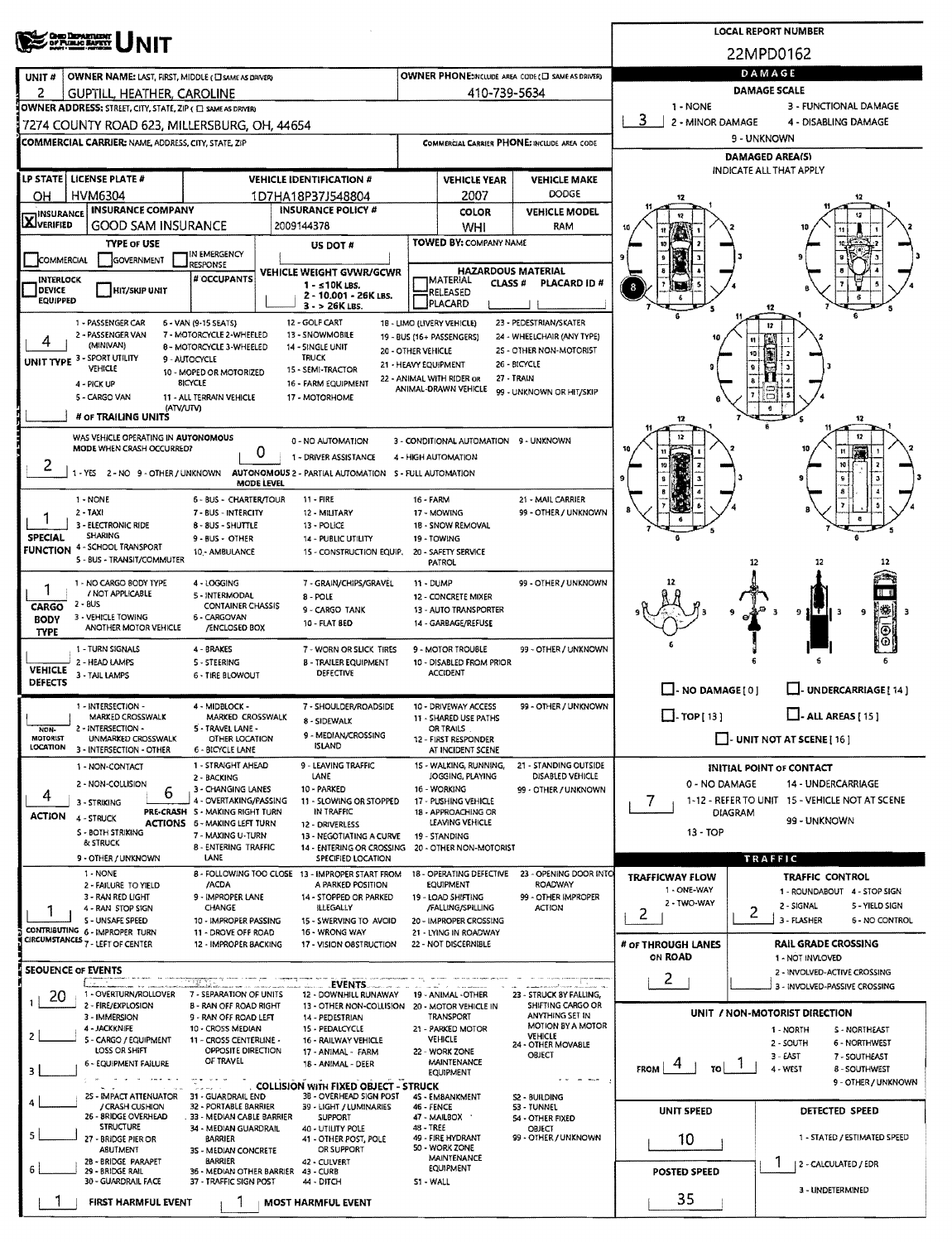| <b>CHIO DEPARTMENT</b><br>OF PUBLIC BAPETY |                                                                                                                                                                                                                                                                                                                                                                                                                                                                                                                                                                                                                                                                                                                                                                                                                                                                                                                                                                                                                                                                                                                                                                                                                                                                                                                                                                                                                                                                                                                                             | <b>LOCAL REPORT NUMBER</b>                                                                                                                                                                                                                                                                                                                                                                                                                                                                                                                                                                                                                                                                                                                                                                                                                                                                                                                                                                                                                                                                                                                                                                                                                                                                                                                                                                                                                                                                                                                                                                                                                                                                                                                                                                                                                                                                                                                                                                                                                                                                                                                                                                                                                                                                                                                                                                                                                                                                                                                                                                                                                                                                                                                                                                                                                                                                                                                                                                                                                                                                                                                                                                                                                                                                                                                                                                                                                                                                                                                                                                                                                                                                                                                                                                                                                                                                                                                                                                                                                                                                                                                                                                                                                                                                                                                                                                                                                                                                                                                                                                                                                                                                                                                                                                                                                                                                                                                                                                                                                                                                                                                                                                                                                                                                                                                                                                                                                                                                                                                                                                                                                                                                                                                                                                                                                                                                                                                                                                                                                                                                                                               |  |                                                                                                                                                                  |  |                     |                      |             |              |                      |  |  |  |  |  |
|--------------------------------------------|---------------------------------------------------------------------------------------------------------------------------------------------------------------------------------------------------------------------------------------------------------------------------------------------------------------------------------------------------------------------------------------------------------------------------------------------------------------------------------------------------------------------------------------------------------------------------------------------------------------------------------------------------------------------------------------------------------------------------------------------------------------------------------------------------------------------------------------------------------------------------------------------------------------------------------------------------------------------------------------------------------------------------------------------------------------------------------------------------------------------------------------------------------------------------------------------------------------------------------------------------------------------------------------------------------------------------------------------------------------------------------------------------------------------------------------------------------------------------------------------------------------------------------------------|------------------------------------------------------------------------------------------------------------------------------------------------------------------------------------------------------------------------------------------------------------------------------------------------------------------------------------------------------------------------------------------------------------------------------------------------------------------------------------------------------------------------------------------------------------------------------------------------------------------------------------------------------------------------------------------------------------------------------------------------------------------------------------------------------------------------------------------------------------------------------------------------------------------------------------------------------------------------------------------------------------------------------------------------------------------------------------------------------------------------------------------------------------------------------------------------------------------------------------------------------------------------------------------------------------------------------------------------------------------------------------------------------------------------------------------------------------------------------------------------------------------------------------------------------------------------------------------------------------------------------------------------------------------------------------------------------------------------------------------------------------------------------------------------------------------------------------------------------------------------------------------------------------------------------------------------------------------------------------------------------------------------------------------------------------------------------------------------------------------------------------------------------------------------------------------------------------------------------------------------------------------------------------------------------------------------------------------------------------------------------------------------------------------------------------------------------------------------------------------------------------------------------------------------------------------------------------------------------------------------------------------------------------------------------------------------------------------------------------------------------------------------------------------------------------------------------------------------------------------------------------------------------------------------------------------------------------------------------------------------------------------------------------------------------------------------------------------------------------------------------------------------------------------------------------------------------------------------------------------------------------------------------------------------------------------------------------------------------------------------------------------------------------------------------------------------------------------------------------------------------------------------------------------------------------------------------------------------------------------------------------------------------------------------------------------------------------------------------------------------------------------------------------------------------------------------------------------------------------------------------------------------------------------------------------------------------------------------------------------------------------------------------------------------------------------------------------------------------------------------------------------------------------------------------------------------------------------------------------------------------------------------------------------------------------------------------------------------------------------------------------------------------------------------------------------------------------------------------------------------------------------------------------------------------------------------------------------------------------------------------------------------------------------------------------------------------------------------------------------------------------------------------------------------------------------------------------------------------------------------------------------------------------------------------------------------------------------------------------------------------------------------------------------------------------------------------------------------------------------------------------------------------------------------------------------------------------------------------------------------------------------------------------------------------------------------------------------------------------------------------------------------------------------------------------------------------------------------------------------------------------------------------------------------------------------------------------------------------------------------------------------------------------------------------------------------------------------------------------------------------------------------------------------------------------------------------------------------------------------------------------------------------------------------------------------------------------------------------------------------------------------------------------------------------------------------------------------------------------------------------------------|--|------------------------------------------------------------------------------------------------------------------------------------------------------------------|--|---------------------|----------------------|-------------|--------------|----------------------|--|--|--|--|--|
|                                            |                                                                                                                                                                                                                                                                                                                                                                                                                                                                                                                                                                                                                                                                                                                                                                                                                                                                                                                                                                                                                                                                                                                                                                                                                                                                                                                                                                                                                                                                                                                                             |                                                                                                                                                                                                                                                                                                                                                                                                                                                                                                                                                                                                                                                                                                                                                                                                                                                                                                                                                                                                                                                                                                                                                                                                                                                                                                                                                                                                                                                                                                                                                                                                                                                                                                                                                                                                                                                                                                                                                                                                                                                                                                                                                                                                                                                                                                                                                                                                                                                                                                                                                                                                                                                                                                                                                                                                                                                                                                                                                                                                                                                                                                                                                                                                                                                                                                                                                                                                                                                                                                                                                                                                                                                                                                                                                                                                                                                                                                                                                                                                                                                                                                                                                                                                                                                                                                                                                                                                                                                                                                                                                                                                                                                                                                                                                                                                                                                                                                                                                                                                                                                                                                                                                                                                                                                                                                                                                                                                                                                                                                                                                                                                                                                                                                                                                                                                                                                                                                                                                                                                                                                                                                                                          |  |                                                                                                                                                                  |  |                     |                      |             |              |                      |  |  |  |  |  |
| UNIT#                                      |                                                                                                                                                                                                                                                                                                                                                                                                                                                                                                                                                                                                                                                                                                                                                                                                                                                                                                                                                                                                                                                                                                                                                                                                                                                                                                                                                                                                                                                                                                                                             |                                                                                                                                                                                                                                                                                                                                                                                                                                                                                                                                                                                                                                                                                                                                                                                                                                                                                                                                                                                                                                                                                                                                                                                                                                                                                                                                                                                                                                                                                                                                                                                                                                                                                                                                                                                                                                                                                                                                                                                                                                                                                                                                                                                                                                                                                                                                                                                                                                                                                                                                                                                                                                                                                                                                                                                                                                                                                                                                                                                                                                                                                                                                                                                                                                                                                                                                                                                                                                                                                                                                                                                                                                                                                                                                                                                                                                                                                                                                                                                                                                                                                                                                                                                                                                                                                                                                                                                                                                                                                                                                                                                                                                                                                                                                                                                                                                                                                                                                                                                                                                                                                                                                                                                                                                                                                                                                                                                                                                                                                                                                                                                                                                                                                                                                                                                                                                                                                                                                                                                                                                                                                                                                          |  |                                                                                                                                                                  |  |                     |                      | DAMAGE      |              |                      |  |  |  |  |  |
| 2                                          |                                                                                                                                                                                                                                                                                                                                                                                                                                                                                                                                                                                                                                                                                                                                                                                                                                                                                                                                                                                                                                                                                                                                                                                                                                                                                                                                                                                                                                                                                                                                             |                                                                                                                                                                                                                                                                                                                                                                                                                                                                                                                                                                                                                                                                                                                                                                                                                                                                                                                                                                                                                                                                                                                                                                                                                                                                                                                                                                                                                                                                                                                                                                                                                                                                                                                                                                                                                                                                                                                                                                                                                                                                                                                                                                                                                                                                                                                                                                                                                                                                                                                                                                                                                                                                                                                                                                                                                                                                                                                                                                                                                                                                                                                                                                                                                                                                                                                                                                                                                                                                                                                                                                                                                                                                                                                                                                                                                                                                                                                                                                                                                                                                                                                                                                                                                                                                                                                                                                                                                                                                                                                                                                                                                                                                                                                                                                                                                                                                                                                                                                                                                                                                                                                                                                                                                                                                                                                                                                                                                                                                                                                                                                                                                                                                                                                                                                                                                                                                                                                                                                                                                                                                                                                                          |  |                                                                                                                                                                  |  |                     |                      | 1 - NONE    |              |                      |  |  |  |  |  |
|                                            |                                                                                                                                                                                                                                                                                                                                                                                                                                                                                                                                                                                                                                                                                                                                                                                                                                                                                                                                                                                                                                                                                                                                                                                                                                                                                                                                                                                                                                                                                                                                             |                                                                                                                                                                                                                                                                                                                                                                                                                                                                                                                                                                                                                                                                                                                                                                                                                                                                                                                                                                                                                                                                                                                                                                                                                                                                                                                                                                                                                                                                                                                                                                                                                                                                                                                                                                                                                                                                                                                                                                                                                                                                                                                                                                                                                                                                                                                                                                                                                                                                                                                                                                                                                                                                                                                                                                                                                                                                                                                                                                                                                                                                                                                                                                                                                                                                                                                                                                                                                                                                                                                                                                                                                                                                                                                                                                                                                                                                                                                                                                                                                                                                                                                                                                                                                                                                                                                                                                                                                                                                                                                                                                                                                                                                                                                                                                                                                                                                                                                                                                                                                                                                                                                                                                                                                                                                                                                                                                                                                                                                                                                                                                                                                                                                                                                                                                                                                                                                                                                                                                                                                                                                                                                                          |  |                                                                                                                                                                  |  |                     |                      | З           |              | 4 - DISABLING DAMAGE |  |  |  |  |  |
|                                            |                                                                                                                                                                                                                                                                                                                                                                                                                                                                                                                                                                                                                                                                                                                                                                                                                                                                                                                                                                                                                                                                                                                                                                                                                                                                                                                                                                                                                                                                                                                                             |                                                                                                                                                                                                                                                                                                                                                                                                                                                                                                                                                                                                                                                                                                                                                                                                                                                                                                                                                                                                                                                                                                                                                                                                                                                                                                                                                                                                                                                                                                                                                                                                                                                                                                                                                                                                                                                                                                                                                                                                                                                                                                                                                                                                                                                                                                                                                                                                                                                                                                                                                                                                                                                                                                                                                                                                                                                                                                                                                                                                                                                                                                                                                                                                                                                                                                                                                                                                                                                                                                                                                                                                                                                                                                                                                                                                                                                                                                                                                                                                                                                                                                                                                                                                                                                                                                                                                                                                                                                                                                                                                                                                                                                                                                                                                                                                                                                                                                                                                                                                                                                                                                                                                                                                                                                                                                                                                                                                                                                                                                                                                                                                                                                                                                                                                                                                                                                                                                                                                                                                                                                                                                                                          |  |                                                                                                                                                                  |  |                     |                      | 9 - UNKNOWN |              |                      |  |  |  |  |  |
|                                            |                                                                                                                                                                                                                                                                                                                                                                                                                                                                                                                                                                                                                                                                                                                                                                                                                                                                                                                                                                                                                                                                                                                                                                                                                                                                                                                                                                                                                                                                                                                                             |                                                                                                                                                                                                                                                                                                                                                                                                                                                                                                                                                                                                                                                                                                                                                                                                                                                                                                                                                                                                                                                                                                                                                                                                                                                                                                                                                                                                                                                                                                                                                                                                                                                                                                                                                                                                                                                                                                                                                                                                                                                                                                                                                                                                                                                                                                                                                                                                                                                                                                                                                                                                                                                                                                                                                                                                                                                                                                                                                                                                                                                                                                                                                                                                                                                                                                                                                                                                                                                                                                                                                                                                                                                                                                                                                                                                                                                                                                                                                                                                                                                                                                                                                                                                                                                                                                                                                                                                                                                                                                                                                                                                                                                                                                                                                                                                                                                                                                                                                                                                                                                                                                                                                                                                                                                                                                                                                                                                                                                                                                                                                                                                                                                                                                                                                                                                                                                                                                                                                                                                                                                                                                                                          |  |                                                                                                                                                                  |  |                     |                      |             |              |                      |  |  |  |  |  |
|                                            |                                                                                                                                                                                                                                                                                                                                                                                                                                                                                                                                                                                                                                                                                                                                                                                                                                                                                                                                                                                                                                                                                                                                                                                                                                                                                                                                                                                                                                                                                                                                             |                                                                                                                                                                                                                                                                                                                                                                                                                                                                                                                                                                                                                                                                                                                                                                                                                                                                                                                                                                                                                                                                                                                                                                                                                                                                                                                                                                                                                                                                                                                                                                                                                                                                                                                                                                                                                                                                                                                                                                                                                                                                                                                                                                                                                                                                                                                                                                                                                                                                                                                                                                                                                                                                                                                                                                                                                                                                                                                                                                                                                                                                                                                                                                                                                                                                                                                                                                                                                                                                                                                                                                                                                                                                                                                                                                                                                                                                                                                                                                                                                                                                                                                                                                                                                                                                                                                                                                                                                                                                                                                                                                                                                                                                                                                                                                                                                                                                                                                                                                                                                                                                                                                                                                                                                                                                                                                                                                                                                                                                                                                                                                                                                                                                                                                                                                                                                                                                                                                                                                                                                                                                                                                                          |  |                                                                                                                                                                  |  | <b>VEHICLE YEAR</b> | <b>VEHICLE MAKE</b>  |             |              |                      |  |  |  |  |  |
|                                            |                                                                                                                                                                                                                                                                                                                                                                                                                                                                                                                                                                                                                                                                                                                                                                                                                                                                                                                                                                                                                                                                                                                                                                                                                                                                                                                                                                                                                                                                                                                                             |                                                                                                                                                                                                                                                                                                                                                                                                                                                                                                                                                                                                                                                                                                                                                                                                                                                                                                                                                                                                                                                                                                                                                                                                                                                                                                                                                                                                                                                                                                                                                                                                                                                                                                                                                                                                                                                                                                                                                                                                                                                                                                                                                                                                                                                                                                                                                                                                                                                                                                                                                                                                                                                                                                                                                                                                                                                                                                                                                                                                                                                                                                                                                                                                                                                                                                                                                                                                                                                                                                                                                                                                                                                                                                                                                                                                                                                                                                                                                                                                                                                                                                                                                                                                                                                                                                                                                                                                                                                                                                                                                                                                                                                                                                                                                                                                                                                                                                                                                                                                                                                                                                                                                                                                                                                                                                                                                                                                                                                                                                                                                                                                                                                                                                                                                                                                                                                                                                                                                                                                                                                                                                                                          |  |                                                                                                                                                                  |  |                     |                      |             |              |                      |  |  |  |  |  |
| <b>AJVERIFIED</b>                          |                                                                                                                                                                                                                                                                                                                                                                                                                                                                                                                                                                                                                                                                                                                                                                                                                                                                                                                                                                                                                                                                                                                                                                                                                                                                                                                                                                                                                                                                                                                                             |                                                                                                                                                                                                                                                                                                                                                                                                                                                                                                                                                                                                                                                                                                                                                                                                                                                                                                                                                                                                                                                                                                                                                                                                                                                                                                                                                                                                                                                                                                                                                                                                                                                                                                                                                                                                                                                                                                                                                                                                                                                                                                                                                                                                                                                                                                                                                                                                                                                                                                                                                                                                                                                                                                                                                                                                                                                                                                                                                                                                                                                                                                                                                                                                                                                                                                                                                                                                                                                                                                                                                                                                                                                                                                                                                                                                                                                                                                                                                                                                                                                                                                                                                                                                                                                                                                                                                                                                                                                                                                                                                                                                                                                                                                                                                                                                                                                                                                                                                                                                                                                                                                                                                                                                                                                                                                                                                                                                                                                                                                                                                                                                                                                                                                                                                                                                                                                                                                                                                                                                                                                                                                                                          |  |                                                                                                                                                                  |  | WHI                 | RAM                  |             |              |                      |  |  |  |  |  |
|                                            | TYPE OF USE                                                                                                                                                                                                                                                                                                                                                                                                                                                                                                                                                                                                                                                                                                                                                                                                                                                                                                                                                                                                                                                                                                                                                                                                                                                                                                                                                                                                                                                                                                                                 |                                                                                                                                                                                                                                                                                                                                                                                                                                                                                                                                                                                                                                                                                                                                                                                                                                                                                                                                                                                                                                                                                                                                                                                                                                                                                                                                                                                                                                                                                                                                                                                                                                                                                                                                                                                                                                                                                                                                                                                                                                                                                                                                                                                                                                                                                                                                                                                                                                                                                                                                                                                                                                                                                                                                                                                                                                                                                                                                                                                                                                                                                                                                                                                                                                                                                                                                                                                                                                                                                                                                                                                                                                                                                                                                                                                                                                                                                                                                                                                                                                                                                                                                                                                                                                                                                                                                                                                                                                                                                                                                                                                                                                                                                                                                                                                                                                                                                                                                                                                                                                                                                                                                                                                                                                                                                                                                                                                                                                                                                                                                                                                                                                                                                                                                                                                                                                                                                                                                                                                                                                                                                                                                          |  | US DOT #                                                                                                                                                         |  |                     |                      |             |              |                      |  |  |  |  |  |
|                                            |                                                                                                                                                                                                                                                                                                                                                                                                                                                                                                                                                                                                                                                                                                                                                                                                                                                                                                                                                                                                                                                                                                                                                                                                                                                                                                                                                                                                                                                                                                                                             | <b>RESPONSE</b>                                                                                                                                                                                                                                                                                                                                                                                                                                                                                                                                                                                                                                                                                                                                                                                                                                                                                                                                                                                                                                                                                                                                                                                                                                                                                                                                                                                                                                                                                                                                                                                                                                                                                                                                                                                                                                                                                                                                                                                                                                                                                                                                                                                                                                                                                                                                                                                                                                                                                                                                                                                                                                                                                                                                                                                                                                                                                                                                                                                                                                                                                                                                                                                                                                                                                                                                                                                                                                                                                                                                                                                                                                                                                                                                                                                                                                                                                                                                                                                                                                                                                                                                                                                                                                                                                                                                                                                                                                                                                                                                                                                                                                                                                                                                                                                                                                                                                                                                                                                                                                                                                                                                                                                                                                                                                                                                                                                                                                                                                                                                                                                                                                                                                                                                                                                                                                                                                                                                                                                                                                                                                                                          |  |                                                                                                                                                                  |  |                     |                      |             |              |                      |  |  |  |  |  |
| <b>DEVICE</b>                              | HIT/SKIP UNIT                                                                                                                                                                                                                                                                                                                                                                                                                                                                                                                                                                                                                                                                                                                                                                                                                                                                                                                                                                                                                                                                                                                                                                                                                                                                                                                                                                                                                                                                                                                               |                                                                                                                                                                                                                                                                                                                                                                                                                                                                                                                                                                                                                                                                                                                                                                                                                                                                                                                                                                                                                                                                                                                                                                                                                                                                                                                                                                                                                                                                                                                                                                                                                                                                                                                                                                                                                                                                                                                                                                                                                                                                                                                                                                                                                                                                                                                                                                                                                                                                                                                                                                                                                                                                                                                                                                                                                                                                                                                                                                                                                                                                                                                                                                                                                                                                                                                                                                                                                                                                                                                                                                                                                                                                                                                                                                                                                                                                                                                                                                                                                                                                                                                                                                                                                                                                                                                                                                                                                                                                                                                                                                                                                                                                                                                                                                                                                                                                                                                                                                                                                                                                                                                                                                                                                                                                                                                                                                                                                                                                                                                                                                                                                                                                                                                                                                                                                                                                                                                                                                                                                                                                                                                                          |  | 1 - s 10K LBS.                                                                                                                                                   |  |                     | PLACARD ID #         | 8           |              |                      |  |  |  |  |  |
|                                            |                                                                                                                                                                                                                                                                                                                                                                                                                                                                                                                                                                                                                                                                                                                                                                                                                                                                                                                                                                                                                                                                                                                                                                                                                                                                                                                                                                                                                                                                                                                                             |                                                                                                                                                                                                                                                                                                                                                                                                                                                                                                                                                                                                                                                                                                                                                                                                                                                                                                                                                                                                                                                                                                                                                                                                                                                                                                                                                                                                                                                                                                                                                                                                                                                                                                                                                                                                                                                                                                                                                                                                                                                                                                                                                                                                                                                                                                                                                                                                                                                                                                                                                                                                                                                                                                                                                                                                                                                                                                                                                                                                                                                                                                                                                                                                                                                                                                                                                                                                                                                                                                                                                                                                                                                                                                                                                                                                                                                                                                                                                                                                                                                                                                                                                                                                                                                                                                                                                                                                                                                                                                                                                                                                                                                                                                                                                                                                                                                                                                                                                                                                                                                                                                                                                                                                                                                                                                                                                                                                                                                                                                                                                                                                                                                                                                                                                                                                                                                                                                                                                                                                                                                                                                                                          |  | $3 - 26K$ LBS.                                                                                                                                                   |  |                     |                      |             |              | 12                   |  |  |  |  |  |
|                                            |                                                                                                                                                                                                                                                                                                                                                                                                                                                                                                                                                                                                                                                                                                                                                                                                                                                                                                                                                                                                                                                                                                                                                                                                                                                                                                                                                                                                                                                                                                                                             |                                                                                                                                                                                                                                                                                                                                                                                                                                                                                                                                                                                                                                                                                                                                                                                                                                                                                                                                                                                                                                                                                                                                                                                                                                                                                                                                                                                                                                                                                                                                                                                                                                                                                                                                                                                                                                                                                                                                                                                                                                                                                                                                                                                                                                                                                                                                                                                                                                                                                                                                                                                                                                                                                                                                                                                                                                                                                                                                                                                                                                                                                                                                                                                                                                                                                                                                                                                                                                                                                                                                                                                                                                                                                                                                                                                                                                                                                                                                                                                                                                                                                                                                                                                                                                                                                                                                                                                                                                                                                                                                                                                                                                                                                                                                                                                                                                                                                                                                                                                                                                                                                                                                                                                                                                                                                                                                                                                                                                                                                                                                                                                                                                                                                                                                                                                                                                                                                                                                                                                                                                                                                                                                          |  |                                                                                                                                                                  |  |                     |                      |             |              | 12                   |  |  |  |  |  |
|                                            | (MINIVAN)                                                                                                                                                                                                                                                                                                                                                                                                                                                                                                                                                                                                                                                                                                                                                                                                                                                                                                                                                                                                                                                                                                                                                                                                                                                                                                                                                                                                                                                                                                                                   |                                                                                                                                                                                                                                                                                                                                                                                                                                                                                                                                                                                                                                                                                                                                                                                                                                                                                                                                                                                                                                                                                                                                                                                                                                                                                                                                                                                                                                                                                                                                                                                                                                                                                                                                                                                                                                                                                                                                                                                                                                                                                                                                                                                                                                                                                                                                                                                                                                                                                                                                                                                                                                                                                                                                                                                                                                                                                                                                                                                                                                                                                                                                                                                                                                                                                                                                                                                                                                                                                                                                                                                                                                                                                                                                                                                                                                                                                                                                                                                                                                                                                                                                                                                                                                                                                                                                                                                                                                                                                                                                                                                                                                                                                                                                                                                                                                                                                                                                                                                                                                                                                                                                                                                                                                                                                                                                                                                                                                                                                                                                                                                                                                                                                                                                                                                                                                                                                                                                                                                                                                                                                                                                          |  |                                                                                                                                                                  |  |                     |                      |             | 10           |                      |  |  |  |  |  |
|                                            | <b>VEHICLE</b>                                                                                                                                                                                                                                                                                                                                                                                                                                                                                                                                                                                                                                                                                                                                                                                                                                                                                                                                                                                                                                                                                                                                                                                                                                                                                                                                                                                                                                                                                                                              |                                                                                                                                                                                                                                                                                                                                                                                                                                                                                                                                                                                                                                                                                                                                                                                                                                                                                                                                                                                                                                                                                                                                                                                                                                                                                                                                                                                                                                                                                                                                                                                                                                                                                                                                                                                                                                                                                                                                                                                                                                                                                                                                                                                                                                                                                                                                                                                                                                                                                                                                                                                                                                                                                                                                                                                                                                                                                                                                                                                                                                                                                                                                                                                                                                                                                                                                                                                                                                                                                                                                                                                                                                                                                                                                                                                                                                                                                                                                                                                                                                                                                                                                                                                                                                                                                                                                                                                                                                                                                                                                                                                                                                                                                                                                                                                                                                                                                                                                                                                                                                                                                                                                                                                                                                                                                                                                                                                                                                                                                                                                                                                                                                                                                                                                                                                                                                                                                                                                                                                                                                                                                                                                          |  |                                                                                                                                                                  |  |                     |                      |             | $\mathbf{9}$ |                      |  |  |  |  |  |
|                                            |                                                                                                                                                                                                                                                                                                                                                                                                                                                                                                                                                                                                                                                                                                                                                                                                                                                                                                                                                                                                                                                                                                                                                                                                                                                                                                                                                                                                                                                                                                                                             |                                                                                                                                                                                                                                                                                                                                                                                                                                                                                                                                                                                                                                                                                                                                                                                                                                                                                                                                                                                                                                                                                                                                                                                                                                                                                                                                                                                                                                                                                                                                                                                                                                                                                                                                                                                                                                                                                                                                                                                                                                                                                                                                                                                                                                                                                                                                                                                                                                                                                                                                                                                                                                                                                                                                                                                                                                                                                                                                                                                                                                                                                                                                                                                                                                                                                                                                                                                                                                                                                                                                                                                                                                                                                                                                                                                                                                                                                                                                                                                                                                                                                                                                                                                                                                                                                                                                                                                                                                                                                                                                                                                                                                                                                                                                                                                                                                                                                                                                                                                                                                                                                                                                                                                                                                                                                                                                                                                                                                                                                                                                                                                                                                                                                                                                                                                                                                                                                                                                                                                                                                                                                                                                          |  |                                                                                                                                                                  |  |                     |                      |             |              |                      |  |  |  |  |  |
|                                            |                                                                                                                                                                                                                                                                                                                                                                                                                                                                                                                                                                                                                                                                                                                                                                                                                                                                                                                                                                                                                                                                                                                                                                                                                                                                                                                                                                                                                                                                                                                                             |                                                                                                                                                                                                                                                                                                                                                                                                                                                                                                                                                                                                                                                                                                                                                                                                                                                                                                                                                                                                                                                                                                                                                                                                                                                                                                                                                                                                                                                                                                                                                                                                                                                                                                                                                                                                                                                                                                                                                                                                                                                                                                                                                                                                                                                                                                                                                                                                                                                                                                                                                                                                                                                                                                                                                                                                                                                                                                                                                                                                                                                                                                                                                                                                                                                                                                                                                                                                                                                                                                                                                                                                                                                                                                                                                                                                                                                                                                                                                                                                                                                                                                                                                                                                                                                                                                                                                                                                                                                                                                                                                                                                                                                                                                                                                                                                                                                                                                                                                                                                                                                                                                                                                                                                                                                                                                                                                                                                                                                                                                                                                                                                                                                                                                                                                                                                                                                                                                                                                                                                                                                                                                                                          |  |                                                                                                                                                                  |  |                     |                      | 12          |              | 12                   |  |  |  |  |  |
|                                            |                                                                                                                                                                                                                                                                                                                                                                                                                                                                                                                                                                                                                                                                                                                                                                                                                                                                                                                                                                                                                                                                                                                                                                                                                                                                                                                                                                                                                                                                                                                                             |                                                                                                                                                                                                                                                                                                                                                                                                                                                                                                                                                                                                                                                                                                                                                                                                                                                                                                                                                                                                                                                                                                                                                                                                                                                                                                                                                                                                                                                                                                                                                                                                                                                                                                                                                                                                                                                                                                                                                                                                                                                                                                                                                                                                                                                                                                                                                                                                                                                                                                                                                                                                                                                                                                                                                                                                                                                                                                                                                                                                                                                                                                                                                                                                                                                                                                                                                                                                                                                                                                                                                                                                                                                                                                                                                                                                                                                                                                                                                                                                                                                                                                                                                                                                                                                                                                                                                                                                                                                                                                                                                                                                                                                                                                                                                                                                                                                                                                                                                                                                                                                                                                                                                                                                                                                                                                                                                                                                                                                                                                                                                                                                                                                                                                                                                                                                                                                                                                                                                                                                                                                                                                                                          |  |                                                                                                                                                                  |  |                     |                      |             |              |                      |  |  |  |  |  |
|                                            |                                                                                                                                                                                                                                                                                                                                                                                                                                                                                                                                                                                                                                                                                                                                                                                                                                                                                                                                                                                                                                                                                                                                                                                                                                                                                                                                                                                                                                                                                                                                             |                                                                                                                                                                                                                                                                                                                                                                                                                                                                                                                                                                                                                                                                                                                                                                                                                                                                                                                                                                                                                                                                                                                                                                                                                                                                                                                                                                                                                                                                                                                                                                                                                                                                                                                                                                                                                                                                                                                                                                                                                                                                                                                                                                                                                                                                                                                                                                                                                                                                                                                                                                                                                                                                                                                                                                                                                                                                                                                                                                                                                                                                                                                                                                                                                                                                                                                                                                                                                                                                                                                                                                                                                                                                                                                                                                                                                                                                                                                                                                                                                                                                                                                                                                                                                                                                                                                                                                                                                                                                                                                                                                                                                                                                                                                                                                                                                                                                                                                                                                                                                                                                                                                                                                                                                                                                                                                                                                                                                                                                                                                                                                                                                                                                                                                                                                                                                                                                                                                                                                                                                                                                                                                                          |  |                                                                                                                                                                  |  |                     |                      |             |              | n                    |  |  |  |  |  |
|                                            |                                                                                                                                                                                                                                                                                                                                                                                                                                                                                                                                                                                                                                                                                                                                                                                                                                                                                                                                                                                                                                                                                                                                                                                                                                                                                                                                                                                                                                                                                                                                             |                                                                                                                                                                                                                                                                                                                                                                                                                                                                                                                                                                                                                                                                                                                                                                                                                                                                                                                                                                                                                                                                                                                                                                                                                                                                                                                                                                                                                                                                                                                                                                                                                                                                                                                                                                                                                                                                                                                                                                                                                                                                                                                                                                                                                                                                                                                                                                                                                                                                                                                                                                                                                                                                                                                                                                                                                                                                                                                                                                                                                                                                                                                                                                                                                                                                                                                                                                                                                                                                                                                                                                                                                                                                                                                                                                                                                                                                                                                                                                                                                                                                                                                                                                                                                                                                                                                                                                                                                                                                                                                                                                                                                                                                                                                                                                                                                                                                                                                                                                                                                                                                                                                                                                                                                                                                                                                                                                                                                                                                                                                                                                                                                                                                                                                                                                                                                                                                                                                                                                                                                                                                                                                                          |  |                                                                                                                                                                  |  |                     |                      |             |              |                      |  |  |  |  |  |
|                                            |                                                                                                                                                                                                                                                                                                                                                                                                                                                                                                                                                                                                                                                                                                                                                                                                                                                                                                                                                                                                                                                                                                                                                                                                                                                                                                                                                                                                                                                                                                                                             |                                                                                                                                                                                                                                                                                                                                                                                                                                                                                                                                                                                                                                                                                                                                                                                                                                                                                                                                                                                                                                                                                                                                                                                                                                                                                                                                                                                                                                                                                                                                                                                                                                                                                                                                                                                                                                                                                                                                                                                                                                                                                                                                                                                                                                                                                                                                                                                                                                                                                                                                                                                                                                                                                                                                                                                                                                                                                                                                                                                                                                                                                                                                                                                                                                                                                                                                                                                                                                                                                                                                                                                                                                                                                                                                                                                                                                                                                                                                                                                                                                                                                                                                                                                                                                                                                                                                                                                                                                                                                                                                                                                                                                                                                                                                                                                                                                                                                                                                                                                                                                                                                                                                                                                                                                                                                                                                                                                                                                                                                                                                                                                                                                                                                                                                                                                                                                                                                                                                                                                                                                                                                                                                          |  | 11 - FIRE                                                                                                                                                        |  |                     | 21 - MAIL CARRIER    |             |              |                      |  |  |  |  |  |
|                                            |                                                                                                                                                                                                                                                                                                                                                                                                                                                                                                                                                                                                                                                                                                                                                                                                                                                                                                                                                                                                                                                                                                                                                                                                                                                                                                                                                                                                                                                                                                                                             |                                                                                                                                                                                                                                                                                                                                                                                                                                                                                                                                                                                                                                                                                                                                                                                                                                                                                                                                                                                                                                                                                                                                                                                                                                                                                                                                                                                                                                                                                                                                                                                                                                                                                                                                                                                                                                                                                                                                                                                                                                                                                                                                                                                                                                                                                                                                                                                                                                                                                                                                                                                                                                                                                                                                                                                                                                                                                                                                                                                                                                                                                                                                                                                                                                                                                                                                                                                                                                                                                                                                                                                                                                                                                                                                                                                                                                                                                                                                                                                                                                                                                                                                                                                                                                                                                                                                                                                                                                                                                                                                                                                                                                                                                                                                                                                                                                                                                                                                                                                                                                                                                                                                                                                                                                                                                                                                                                                                                                                                                                                                                                                                                                                                                                                                                                                                                                                                                                                                                                                                                                                                                                                                          |  | 12 - MILITARY                                                                                                                                                    |  |                     | 99 - OTHER / UNKNOWN |             |              |                      |  |  |  |  |  |
| <b>SPECIAL</b>                             | <b>SHARING</b>                                                                                                                                                                                                                                                                                                                                                                                                                                                                                                                                                                                                                                                                                                                                                                                                                                                                                                                                                                                                                                                                                                                                                                                                                                                                                                                                                                                                                                                                                                                              | 9 - BUS - OTHER                                                                                                                                                                                                                                                                                                                                                                                                                                                                                                                                                                                                                                                                                                                                                                                                                                                                                                                                                                                                                                                                                                                                                                                                                                                                                                                                                                                                                                                                                                                                                                                                                                                                                                                                                                                                                                                                                                                                                                                                                                                                                                                                                                                                                                                                                                                                                                                                                                                                                                                                                                                                                                                                                                                                                                                                                                                                                                                                                                                                                                                                                                                                                                                                                                                                                                                                                                                                                                                                                                                                                                                                                                                                                                                                                                                                                                                                                                                                                                                                                                                                                                                                                                                                                                                                                                                                                                                                                                                                                                                                                                                                                                                                                                                                                                                                                                                                                                                                                                                                                                                                                                                                                                                                                                                                                                                                                                                                                                                                                                                                                                                                                                                                                                                                                                                                                                                                                                                                                                                                                                                                                                                          |  | 14 - PUBLIC UTILITY                                                                                                                                              |  |                     |                      |             |              |                      |  |  |  |  |  |
|                                            |                                                                                                                                                                                                                                                                                                                                                                                                                                                                                                                                                                                                                                                                                                                                                                                                                                                                                                                                                                                                                                                                                                                                                                                                                                                                                                                                                                                                                                                                                                                                             |                                                                                                                                                                                                                                                                                                                                                                                                                                                                                                                                                                                                                                                                                                                                                                                                                                                                                                                                                                                                                                                                                                                                                                                                                                                                                                                                                                                                                                                                                                                                                                                                                                                                                                                                                                                                                                                                                                                                                                                                                                                                                                                                                                                                                                                                                                                                                                                                                                                                                                                                                                                                                                                                                                                                                                                                                                                                                                                                                                                                                                                                                                                                                                                                                                                                                                                                                                                                                                                                                                                                                                                                                                                                                                                                                                                                                                                                                                                                                                                                                                                                                                                                                                                                                                                                                                                                                                                                                                                                                                                                                                                                                                                                                                                                                                                                                                                                                                                                                                                                                                                                                                                                                                                                                                                                                                                                                                                                                                                                                                                                                                                                                                                                                                                                                                                                                                                                                                                                                                                                                                                                                                                                          |  |                                                                                                                                                                  |  |                     |                      |             | 12           | 12                   |  |  |  |  |  |
|                                            |                                                                                                                                                                                                                                                                                                                                                                                                                                                                                                                                                                                                                                                                                                                                                                                                                                                                                                                                                                                                                                                                                                                                                                                                                                                                                                                                                                                                                                                                                                                                             | 22MPD0162<br>OWNER PHONE:INCLUDE AREA CODE (C) SAME AS DRIVERY<br>OWNER NAME: LAST, FIRST, MIDDLE (C) SAME AS DRIVER)<br>DAMAGE SCALE<br>410-739-5634<br>GUPTILL, HEATHER, CAROLINE<br>3 - FUNCTIONAL DAMAGE<br>OWNER ADDRESS: STREET, CITY, STATE, ZIP ( E) SAME AS DRIVER)<br>2 - MINOR DAMAGE<br>COMMERCIAL CARRIER PHONE: INCLUDE AREA CODE<br><b>DAMAGED AREA(S)</b><br>INDICATE ALL THAT APPLY<br><b>VEHICLE IDENTIFICATION #</b><br><b>DODGE</b><br>2007<br>1D7HA18P37J548804<br><b>INSURANCE POLICY #</b><br><b>COLOR</b><br><b>VEHICLE MODEL</b><br>2009144378<br>TOWED BY: COMPANY NAME<br>IN EMERGENCY<br><b>HAZARDOUS MATERIAL</b><br><b>VEHICLE WEIGHT GVWR/GCWR</b><br># OCCUPANTS<br>IMATERIAL<br>CLASS <sup>#</sup><br>RELEASED<br>2 - 10.001 - 26K LBS.<br>PLACARD<br>12 - GOLF CART<br>23 - PEDESTRIAN/SKATER<br>6 - VAN (9-15 SEATS)<br>18 - LIMO (LIVERY VEHICLE)<br>7 - MOTORCYCLE 2-WHEELED<br>13 - SNOWMOBILE<br>24 - WHEELCHAIR (ANY TYPE)<br>19 - BUS (16+ PASSENGERS)<br>8 - MOTORCYCLE 3-WHEELED<br>14 - 5 INGLE UNIT<br>20 - OTHER VEHICLE<br>25 - OTHER NON-MOTORIST<br><b>TRUCK</b><br>9 - AUTOCYCLE<br>26 - BICYCLE<br>21 - HEAVY EQUIPMENT<br>15 - SEMI-TRACTOR<br>10 - MOPED OR MOTORIZED<br>22 - ANIMAL WITH RIDER OR<br>27 - TRAIN<br><b>BICYCLE</b><br>16 - FARM EQUIPMENT<br>ANIMAL-DRAWN VEHICLE<br>99 - UNKNOWN OR HIT/SKIP<br>11 - ALL TERRAIN VEHICLE<br>17 - MOTORHOME<br>(ATV/UTV)<br>0 - NO AUTOMATION<br>3 - CONDITIONAL AUTOMATION 9 - UNKNOWN<br>0<br>1 - DRIVER ASSISTANCE<br>4 - HIGH AUTOMATION<br><b>MODE LEVEL</b><br>6 - BUS - CHARTER/TOUR<br>16 - FARM<br>7 - BUS - INTERCITY<br>17 - MOWING<br>8 - 8US - SHUTTLE<br>18 - SNOW REMOVAL<br>13 - POLICE<br>19 - TOWING<br>10 - AMBULANCE<br>15 - CONSTRUCTION EQUIP,<br>20 - SAFETY SERVICE<br>PATROL<br>99 - OTHER / UNKNOWN<br>4 - LOGGING<br>7 - GRAIN/CHIPS/GRAVEL<br>11 - DUMP<br>5 - INTERMODAL<br>8 - POLE<br>12 - CONCRETE MIXER<br><b>CONTAINER CHASSIS</b><br>爆<br>9 - CARGO TANK<br>13 - AUTO TRANSPORTER<br>ا آ $\mathbf{r}$ ا ا<br>9<br>91<br>6 - CARGOVAN<br>10 - FLAT BED<br>14 - GARBAGE/REFUSE<br>/ENCLOSED BOX<br>$\overline{\odot}$<br>o<br>4 - BRAKES<br>7 - WORN OR SLICK TIRES<br>9 - MOTOR TROUBLE<br>99 - OTHER / UNKNOWN<br>5 - STEERING<br><b>8 - TRAILER EQUIPMENT</b><br>10 - DISABLED FROM PRIOR<br>DEFECTIVE<br><b>ACCIDENT</b><br>6 - TIRE BLOWOUT<br>$\Box$ - NO DAMAGE [ 0 ]<br>LI-UNDERCARRIAGE! 14<br>99 - OTHER / UNKNOWN<br>4 - MIDBLOCK -<br>7 - SHOULDER/ROADSIDE<br>10 - DRIVEWAY ACCESS<br>$\Box$ - ALL AREAS [ 15 ]<br>$\Box$ - TOP[13]<br>MARKED CROSSWALK<br>11 - SHARED USE PATHS<br>8 - SIDEWALK<br>5 - TRAVEL LANE -<br>OR TRAILS<br>9 - MEDIAN/CROSSING<br>- UNIT NOT AT SCENE [ 16 ]<br>OTHER LOCATION<br>12 - FIRST RESPONDER<br><b>ISLAND</b><br><b>6 - BICYCLE LANE</b><br>AT INCIDENT SCENE<br>1 - STRAIGHT AHEAD<br>9 - LEAVING TRAFFIC<br>1S - WALKING, RUNNING,<br>21 - STANDING OUTSIDE<br><b>INITIAL POINT OF CONTACT</b><br>LANE<br>JOGGING, PLAYING<br>DISABLED VEHICLE<br>2 - BACKING<br>0 - NO DAMAGE<br><b>14 - UNDERCARRIAGE</b><br>10 - PARKED<br>3 - CHANGING LANES<br>16 - WORKING<br>99 - OTHER / UNKNOWN<br>6<br>1-12 - REFER TO UNIT 15 - VEHICLE NOT AT SCENE<br>4 - OVERTAKING/PASSING<br>7<br>11 - SLOWING OR STOPPED<br>17 - PUSHING VEHICLE<br>PRE-CRASH 5 - MAKING RIGHT TURN<br>IN TRAFFIC<br>18 - APPROACHING OR<br>DIAGRAM<br>99 - UNKNOWN<br>LEAVING VEHICLE<br><b>ACTIONS 6 - MAKING LEFT TURN</b><br>12 - DRIVERLESS<br>13 - TOP<br>7 - MAKING U-TURN<br>13 - NEGOTIATING A CURVE<br>19 - STANDING<br><b>8 - ENTERING TRAFFIC</b><br>14 - ENTERING OR CROSSING<br>20 - OTHER NON-MOTORIST<br>LANE<br>SPECIFIED LOCATION<br><b>TRAFFIC</b><br>8 - FOLLOWING TOO CLOSE 13 - IMPROPER START FROM<br>18 - OPERATING DEFECTIVE<br>23 - OPENING DOOR INTO<br><b>TRAFFICWAY FLOW</b><br>TRAFFIC CONTROL<br>ROADWAY<br>/ACDA<br>A PARKED POSITION<br>EQUIPMENT<br>1 - ONE-WAY<br>1 - ROUNDABOUT 4 - STOP SIGN<br>9 - IMPROPER LANE<br>99 - OTHER IMPROPER<br>14 - STOPPED OR PARKED<br>19 - LOAD SHIFTING<br>2 - TWO WAY<br>2 - SIGNAL<br>5 - YIELD SIGN<br>CHANGE<br>ILLEGALLY<br>/FALLING/SPILLING<br><b>ACTION</b><br>2<br>2<br>3 - FLASHER<br><b>6 - NO CONTROL</b><br>10 - IMPROPER PASSING<br>15 - SWERVING TO AVOID<br>20 - IMPROPER CROSSING<br>11 - DROVE OFF ROAD<br>16 - WRONG WAY<br>21 - LYING IN ROADWAY<br><b>RAIL GRADE CROSSING</b><br>12 - IMPROPER BACKING<br>22 - NOT DISCERNIBLE<br># OF THROUGH LANES<br>17 - VISION OBSTRUCTION<br>ON ROAD<br>1 - NOT INVLOVED<br>2 - INVOLVED-ACTIVE CROSSING<br>2<br><b>EVENTS.</b><br>3 - INVOLVED-PASSIVE CROSSING<br>and an account connect<br>7 - SEPARATION OF UNITS<br>12 - DOWNHILL RUNAWAY<br>19 - ANIMAL - OTHER<br>23 - STRUCK BY FALLING,<br>SHIFTING CARGO OR<br><b>B - RAN OFF ROAD RIGHT</b><br>13 - OTHER NON-COLLISION 20 - MOTOR VEHICLE IN<br>UNIT / NON-MOTORIST DIRECTION<br>ANYTHING SET IN<br>TRANSPORT<br>9 - RAN OFF ROAD LEFT<br>14 - PEDESTRIAN<br>MOTION BY A MOTOR<br>10 - CROSS MEDIAN<br>15 - PEDALCYCLE<br>21 - PARKED MOTOR<br>1 - NORTH<br>S - NORTHEAST<br><b>VEHICLE</b><br><b>VEHICLE</b><br>11 - CROSS CENTERLINE -<br>16 - RAILWAY VEHICLE<br>2 - SOUTH<br>6 - NORTHWEST<br>24 - OTHER MOVABLE<br>OPPOSITE DIRECTION<br>22 - WORK ZONE<br>17 ANIMAL - FARM<br>OBJECT<br>$3 - EAST$<br>7 - SOUTHEAST<br>OF TRAVEL<br>MAINTENANCE<br>18 - ANIMAL - DEER<br><b>FROM</b><br>۲o۱<br>4 - WEST<br>8 - SOUTHWEST<br><b>EQUIPMENT</b><br>9 - OTHER / UNKNOWN<br><b>COLLISION WITH FIXED OBJECT - STRUCK</b><br>2S - IMPACT ATTENUATOR 31 - GUARDRAIL END<br>3B - OVERHEAD SIGN POST<br>4S - EMBANKMENT<br>S2 - BUILDING<br>32 - PORTABLE BARRIER<br>39 - LIGHT / LUMINARIES<br>46 - FENCE<br>53 - TUNNEL<br>UNIT SPEED<br>DETECTED SPEED<br>33 - MEDIAN CABLE BARRIER<br>SUPPORT<br>47 - MAILBOX ·<br>54 - OTHER FIXED<br>48 - TREE<br>34 - MEDIAN GUARDRAIL<br>40 - UTILITY POLE<br>OBJECT<br>10<br>49 - FIRE HYDRANT<br>99 - OTHER / UNKNOWN<br>1 - STATED / ESTIMATED SPEED<br><b>BARRIER</b><br>41 - OTHER POST, POLE<br>50 - WORK ZONE<br>35 - MEDIAN CONCRETE |  |                                                                                                                                                                  |  |                     |                      |             |              |                      |  |  |  |  |  |
| <b>CARGO</b>                               |                                                                                                                                                                                                                                                                                                                                                                                                                                                                                                                                                                                                                                                                                                                                                                                                                                                                                                                                                                                                                                                                                                                                                                                                                                                                                                                                                                                                                                                                                                                                             |                                                                                                                                                                                                                                                                                                                                                                                                                                                                                                                                                                                                                                                                                                                                                                                                                                                                                                                                                                                                                                                                                                                                                                                                                                                                                                                                                                                                                                                                                                                                                                                                                                                                                                                                                                                                                                                                                                                                                                                                                                                                                                                                                                                                                                                                                                                                                                                                                                                                                                                                                                                                                                                                                                                                                                                                                                                                                                                                                                                                                                                                                                                                                                                                                                                                                                                                                                                                                                                                                                                                                                                                                                                                                                                                                                                                                                                                                                                                                                                                                                                                                                                                                                                                                                                                                                                                                                                                                                                                                                                                                                                                                                                                                                                                                                                                                                                                                                                                                                                                                                                                                                                                                                                                                                                                                                                                                                                                                                                                                                                                                                                                                                                                                                                                                                                                                                                                                                                                                                                                                                                                                                                                          |  |                                                                                                                                                                  |  |                     |                      |             |              |                      |  |  |  |  |  |
| <b>BODY</b>                                | ANOTHER MOTOR VEHICLE                                                                                                                                                                                                                                                                                                                                                                                                                                                                                                                                                                                                                                                                                                                                                                                                                                                                                                                                                                                                                                                                                                                                                                                                                                                                                                                                                                                                                                                                                                                       |                                                                                                                                                                                                                                                                                                                                                                                                                                                                                                                                                                                                                                                                                                                                                                                                                                                                                                                                                                                                                                                                                                                                                                                                                                                                                                                                                                                                                                                                                                                                                                                                                                                                                                                                                                                                                                                                                                                                                                                                                                                                                                                                                                                                                                                                                                                                                                                                                                                                                                                                                                                                                                                                                                                                                                                                                                                                                                                                                                                                                                                                                                                                                                                                                                                                                                                                                                                                                                                                                                                                                                                                                                                                                                                                                                                                                                                                                                                                                                                                                                                                                                                                                                                                                                                                                                                                                                                                                                                                                                                                                                                                                                                                                                                                                                                                                                                                                                                                                                                                                                                                                                                                                                                                                                                                                                                                                                                                                                                                                                                                                                                                                                                                                                                                                                                                                                                                                                                                                                                                                                                                                                                                          |  |                                                                                                                                                                  |  |                     |                      |             |              |                      |  |  |  |  |  |
|                                            |                                                                                                                                                                                                                                                                                                                                                                                                                                                                                                                                                                                                                                                                                                                                                                                                                                                                                                                                                                                                                                                                                                                                                                                                                                                                                                                                                                                                                                                                                                                                             |                                                                                                                                                                                                                                                                                                                                                                                                                                                                                                                                                                                                                                                                                                                                                                                                                                                                                                                                                                                                                                                                                                                                                                                                                                                                                                                                                                                                                                                                                                                                                                                                                                                                                                                                                                                                                                                                                                                                                                                                                                                                                                                                                                                                                                                                                                                                                                                                                                                                                                                                                                                                                                                                                                                                                                                                                                                                                                                                                                                                                                                                                                                                                                                                                                                                                                                                                                                                                                                                                                                                                                                                                                                                                                                                                                                                                                                                                                                                                                                                                                                                                                                                                                                                                                                                                                                                                                                                                                                                                                                                                                                                                                                                                                                                                                                                                                                                                                                                                                                                                                                                                                                                                                                                                                                                                                                                                                                                                                                                                                                                                                                                                                                                                                                                                                                                                                                                                                                                                                                                                                                                                                                                          |  |                                                                                                                                                                  |  |                     |                      |             |              |                      |  |  |  |  |  |
| <b>VEHICLE</b>                             |                                                                                                                                                                                                                                                                                                                                                                                                                                                                                                                                                                                                                                                                                                                                                                                                                                                                                                                                                                                                                                                                                                                                                                                                                                                                                                                                                                                                                                                                                                                                             |                                                                                                                                                                                                                                                                                                                                                                                                                                                                                                                                                                                                                                                                                                                                                                                                                                                                                                                                                                                                                                                                                                                                                                                                                                                                                                                                                                                                                                                                                                                                                                                                                                                                                                                                                                                                                                                                                                                                                                                                                                                                                                                                                                                                                                                                                                                                                                                                                                                                                                                                                                                                                                                                                                                                                                                                                                                                                                                                                                                                                                                                                                                                                                                                                                                                                                                                                                                                                                                                                                                                                                                                                                                                                                                                                                                                                                                                                                                                                                                                                                                                                                                                                                                                                                                                                                                                                                                                                                                                                                                                                                                                                                                                                                                                                                                                                                                                                                                                                                                                                                                                                                                                                                                                                                                                                                                                                                                                                                                                                                                                                                                                                                                                                                                                                                                                                                                                                                                                                                                                                                                                                                                                          |  |                                                                                                                                                                  |  |                     |                      |             |              |                      |  |  |  |  |  |
| <b>DEFECTS</b>                             | 7274 COUNTY ROAD 623, MILLERSBURG, OH, 44654<br><b>COMMERCIAL CARRIER: NAME, ADDRESS, CITY, STATE, ZIP</b><br>LP STATE   LICENSE PLATE #<br>HVM6304<br>OН<br><b>INSURANCE COMPANY</b><br><b>HINSURANCE</b><br><b>GOOD SAM INSURANCE</b><br>GOVERNMENT<br><b>COMMERCIAL</b><br>INTERLOCK<br><b>EQUIPPED</b><br>1 - PASSENGER CAR<br>2 - PASSENGER VAN<br>UNIT TYPE 3 - SPORT UTILITY<br>4 - PICK UP<br>5 - CARGO VAN<br># OF TRAILING UNITS<br>WAS VEHICLE OPERATING IN AUTONOMOUS<br>MODE WHEN CRASH OCCURRED?<br>2<br>1 - YES 2 - NO 9 - OTHER / UNKNOWN AUTONOMOUS 2 - PARTIAL AUTOMATION S - FULL AUTOMATION<br>1 - NONE<br>$2 - TAXI$<br>3 - ELECTRONIC RIDE<br><b>FUNCTION 4 - SCHOOL TRANSPORT</b><br>5 - BUS - TRANSIT/COMMUTER<br>1 - NO CARGO BODY TYPE<br>1<br>/ NOT APPLICABLE<br>$2 - 8US$<br>3 - VEHICLE TOWING<br><b>TYPE</b><br>1 - TURN SIGNALS<br>2 - HEAD LAMPS<br>3 - TAIL LAMPS<br>1 - INTERSECTION -<br>MARKED CROSSWALK<br>2 - INTERSECTION -<br>NON-<br>MOTORIST<br>UNMARKED CROSSWALK<br>3 - INTERSECTION - OTHER<br>1 - NON-CONTACT<br>2 - NON-COLLISION<br>4<br>3 - STRIKING<br>4 - STRUCK<br><b>S - BOTH STRIKING</b><br>& STRUCK<br>9 - OTHER / UNKNOWN<br>1 - NONE<br>2 - FAILURE TO YIELD<br>3 - RAN RED LIGHT<br>4 - RAN STOP SIGN<br>S - UNSAFE SPEED<br>CONTRIBUTING 6 - IMPROPER TURN<br>CIRCUMSTANCES 7 - LEFT OF CENTER<br>SEOUENCE OF EVENTS<br>1 - OVERTURN/ROLLOVER<br>20<br>2 - FIRE/EXPLOSION<br>3 - IMMERSION<br>4 - JACKKNIFE<br>5 - CARGO / EQUIPMENT<br>LOSS OR SHIFT<br>6 - EQUIPMENT FAILURE |                                                                                                                                                                                                                                                                                                                                                                                                                                                                                                                                                                                                                                                                                                                                                                                                                                                                                                                                                                                                                                                                                                                                                                                                                                                                                                                                                                                                                                                                                                                                                                                                                                                                                                                                                                                                                                                                                                                                                                                                                                                                                                                                                                                                                                                                                                                                                                                                                                                                                                                                                                                                                                                                                                                                                                                                                                                                                                                                                                                                                                                                                                                                                                                                                                                                                                                                                                                                                                                                                                                                                                                                                                                                                                                                                                                                                                                                                                                                                                                                                                                                                                                                                                                                                                                                                                                                                                                                                                                                                                                                                                                                                                                                                                                                                                                                                                                                                                                                                                                                                                                                                                                                                                                                                                                                                                                                                                                                                                                                                                                                                                                                                                                                                                                                                                                                                                                                                                                                                                                                                                                                                                                                          |  |                                                                                                                                                                  |  |                     |                      |             |              |                      |  |  |  |  |  |
|                                            |                                                                                                                                                                                                                                                                                                                                                                                                                                                                                                                                                                                                                                                                                                                                                                                                                                                                                                                                                                                                                                                                                                                                                                                                                                                                                                                                                                                                                                                                                                                                             |                                                                                                                                                                                                                                                                                                                                                                                                                                                                                                                                                                                                                                                                                                                                                                                                                                                                                                                                                                                                                                                                                                                                                                                                                                                                                                                                                                                                                                                                                                                                                                                                                                                                                                                                                                                                                                                                                                                                                                                                                                                                                                                                                                                                                                                                                                                                                                                                                                                                                                                                                                                                                                                                                                                                                                                                                                                                                                                                                                                                                                                                                                                                                                                                                                                                                                                                                                                                                                                                                                                                                                                                                                                                                                                                                                                                                                                                                                                                                                                                                                                                                                                                                                                                                                                                                                                                                                                                                                                                                                                                                                                                                                                                                                                                                                                                                                                                                                                                                                                                                                                                                                                                                                                                                                                                                                                                                                                                                                                                                                                                                                                                                                                                                                                                                                                                                                                                                                                                                                                                                                                                                                                                          |  |                                                                                                                                                                  |  |                     |                      |             |              |                      |  |  |  |  |  |
|                                            |                                                                                                                                                                                                                                                                                                                                                                                                                                                                                                                                                                                                                                                                                                                                                                                                                                                                                                                                                                                                                                                                                                                                                                                                                                                                                                                                                                                                                                                                                                                                             |                                                                                                                                                                                                                                                                                                                                                                                                                                                                                                                                                                                                                                                                                                                                                                                                                                                                                                                                                                                                                                                                                                                                                                                                                                                                                                                                                                                                                                                                                                                                                                                                                                                                                                                                                                                                                                                                                                                                                                                                                                                                                                                                                                                                                                                                                                                                                                                                                                                                                                                                                                                                                                                                                                                                                                                                                                                                                                                                                                                                                                                                                                                                                                                                                                                                                                                                                                                                                                                                                                                                                                                                                                                                                                                                                                                                                                                                                                                                                                                                                                                                                                                                                                                                                                                                                                                                                                                                                                                                                                                                                                                                                                                                                                                                                                                                                                                                                                                                                                                                                                                                                                                                                                                                                                                                                                                                                                                                                                                                                                                                                                                                                                                                                                                                                                                                                                                                                                                                                                                                                                                                                                                                          |  |                                                                                                                                                                  |  |                     |                      |             |              |                      |  |  |  |  |  |
| <b>LOCATION</b>                            |                                                                                                                                                                                                                                                                                                                                                                                                                                                                                                                                                                                                                                                                                                                                                                                                                                                                                                                                                                                                                                                                                                                                                                                                                                                                                                                                                                                                                                                                                                                                             |                                                                                                                                                                                                                                                                                                                                                                                                                                                                                                                                                                                                                                                                                                                                                                                                                                                                                                                                                                                                                                                                                                                                                                                                                                                                                                                                                                                                                                                                                                                                                                                                                                                                                                                                                                                                                                                                                                                                                                                                                                                                                                                                                                                                                                                                                                                                                                                                                                                                                                                                                                                                                                                                                                                                                                                                                                                                                                                                                                                                                                                                                                                                                                                                                                                                                                                                                                                                                                                                                                                                                                                                                                                                                                                                                                                                                                                                                                                                                                                                                                                                                                                                                                                                                                                                                                                                                                                                                                                                                                                                                                                                                                                                                                                                                                                                                                                                                                                                                                                                                                                                                                                                                                                                                                                                                                                                                                                                                                                                                                                                                                                                                                                                                                                                                                                                                                                                                                                                                                                                                                                                                                                                          |  |                                                                                                                                                                  |  |                     |                      |             |              |                      |  |  |  |  |  |
|                                            |                                                                                                                                                                                                                                                                                                                                                                                                                                                                                                                                                                                                                                                                                                                                                                                                                                                                                                                                                                                                                                                                                                                                                                                                                                                                                                                                                                                                                                                                                                                                             |                                                                                                                                                                                                                                                                                                                                                                                                                                                                                                                                                                                                                                                                                                                                                                                                                                                                                                                                                                                                                                                                                                                                                                                                                                                                                                                                                                                                                                                                                                                                                                                                                                                                                                                                                                                                                                                                                                                                                                                                                                                                                                                                                                                                                                                                                                                                                                                                                                                                                                                                                                                                                                                                                                                                                                                                                                                                                                                                                                                                                                                                                                                                                                                                                                                                                                                                                                                                                                                                                                                                                                                                                                                                                                                                                                                                                                                                                                                                                                                                                                                                                                                                                                                                                                                                                                                                                                                                                                                                                                                                                                                                                                                                                                                                                                                                                                                                                                                                                                                                                                                                                                                                                                                                                                                                                                                                                                                                                                                                                                                                                                                                                                                                                                                                                                                                                                                                                                                                                                                                                                                                                                                                          |  |                                                                                                                                                                  |  |                     |                      |             |              |                      |  |  |  |  |  |
|                                            |                                                                                                                                                                                                                                                                                                                                                                                                                                                                                                                                                                                                                                                                                                                                                                                                                                                                                                                                                                                                                                                                                                                                                                                                                                                                                                                                                                                                                                                                                                                                             |                                                                                                                                                                                                                                                                                                                                                                                                                                                                                                                                                                                                                                                                                                                                                                                                                                                                                                                                                                                                                                                                                                                                                                                                                                                                                                                                                                                                                                                                                                                                                                                                                                                                                                                                                                                                                                                                                                                                                                                                                                                                                                                                                                                                                                                                                                                                                                                                                                                                                                                                                                                                                                                                                                                                                                                                                                                                                                                                                                                                                                                                                                                                                                                                                                                                                                                                                                                                                                                                                                                                                                                                                                                                                                                                                                                                                                                                                                                                                                                                                                                                                                                                                                                                                                                                                                                                                                                                                                                                                                                                                                                                                                                                                                                                                                                                                                                                                                                                                                                                                                                                                                                                                                                                                                                                                                                                                                                                                                                                                                                                                                                                                                                                                                                                                                                                                                                                                                                                                                                                                                                                                                                                          |  |                                                                                                                                                                  |  |                     |                      |             |              |                      |  |  |  |  |  |
| ACTION                                     |                                                                                                                                                                                                                                                                                                                                                                                                                                                                                                                                                                                                                                                                                                                                                                                                                                                                                                                                                                                                                                                                                                                                                                                                                                                                                                                                                                                                                                                                                                                                             |                                                                                                                                                                                                                                                                                                                                                                                                                                                                                                                                                                                                                                                                                                                                                                                                                                                                                                                                                                                                                                                                                                                                                                                                                                                                                                                                                                                                                                                                                                                                                                                                                                                                                                                                                                                                                                                                                                                                                                                                                                                                                                                                                                                                                                                                                                                                                                                                                                                                                                                                                                                                                                                                                                                                                                                                                                                                                                                                                                                                                                                                                                                                                                                                                                                                                                                                                                                                                                                                                                                                                                                                                                                                                                                                                                                                                                                                                                                                                                                                                                                                                                                                                                                                                                                                                                                                                                                                                                                                                                                                                                                                                                                                                                                                                                                                                                                                                                                                                                                                                                                                                                                                                                                                                                                                                                                                                                                                                                                                                                                                                                                                                                                                                                                                                                                                                                                                                                                                                                                                                                                                                                                                          |  |                                                                                                                                                                  |  |                     |                      |             |              |                      |  |  |  |  |  |
|                                            |                                                                                                                                                                                                                                                                                                                                                                                                                                                                                                                                                                                                                                                                                                                                                                                                                                                                                                                                                                                                                                                                                                                                                                                                                                                                                                                                                                                                                                                                                                                                             |                                                                                                                                                                                                                                                                                                                                                                                                                                                                                                                                                                                                                                                                                                                                                                                                                                                                                                                                                                                                                                                                                                                                                                                                                                                                                                                                                                                                                                                                                                                                                                                                                                                                                                                                                                                                                                                                                                                                                                                                                                                                                                                                                                                                                                                                                                                                                                                                                                                                                                                                                                                                                                                                                                                                                                                                                                                                                                                                                                                                                                                                                                                                                                                                                                                                                                                                                                                                                                                                                                                                                                                                                                                                                                                                                                                                                                                                                                                                                                                                                                                                                                                                                                                                                                                                                                                                                                                                                                                                                                                                                                                                                                                                                                                                                                                                                                                                                                                                                                                                                                                                                                                                                                                                                                                                                                                                                                                                                                                                                                                                                                                                                                                                                                                                                                                                                                                                                                                                                                                                                                                                                                                                          |  |                                                                                                                                                                  |  |                     |                      |             |              |                      |  |  |  |  |  |
|                                            |                                                                                                                                                                                                                                                                                                                                                                                                                                                                                                                                                                                                                                                                                                                                                                                                                                                                                                                                                                                                                                                                                                                                                                                                                                                                                                                                                                                                                                                                                                                                             |                                                                                                                                                                                                                                                                                                                                                                                                                                                                                                                                                                                                                                                                                                                                                                                                                                                                                                                                                                                                                                                                                                                                                                                                                                                                                                                                                                                                                                                                                                                                                                                                                                                                                                                                                                                                                                                                                                                                                                                                                                                                                                                                                                                                                                                                                                                                                                                                                                                                                                                                                                                                                                                                                                                                                                                                                                                                                                                                                                                                                                                                                                                                                                                                                                                                                                                                                                                                                                                                                                                                                                                                                                                                                                                                                                                                                                                                                                                                                                                                                                                                                                                                                                                                                                                                                                                                                                                                                                                                                                                                                                                                                                                                                                                                                                                                                                                                                                                                                                                                                                                                                                                                                                                                                                                                                                                                                                                                                                                                                                                                                                                                                                                                                                                                                                                                                                                                                                                                                                                                                                                                                                                                          |  | OR SUPPORT<br>MAINTENANCE<br>42 - CULVERT<br>Ŧ<br>12 - CALCULATED / EDR<br>EQUIPMENT<br>43 - CURB<br>POSTED SPEED<br>44 - DITCH<br>S1 - WALL<br>3 - UNDETERMINED |  |                     |                      |             |              |                      |  |  |  |  |  |
|                                            |                                                                                                                                                                                                                                                                                                                                                                                                                                                                                                                                                                                                                                                                                                                                                                                                                                                                                                                                                                                                                                                                                                                                                                                                                                                                                                                                                                                                                                                                                                                                             |                                                                                                                                                                                                                                                                                                                                                                                                                                                                                                                                                                                                                                                                                                                                                                                                                                                                                                                                                                                                                                                                                                                                                                                                                                                                                                                                                                                                                                                                                                                                                                                                                                                                                                                                                                                                                                                                                                                                                                                                                                                                                                                                                                                                                                                                                                                                                                                                                                                                                                                                                                                                                                                                                                                                                                                                                                                                                                                                                                                                                                                                                                                                                                                                                                                                                                                                                                                                                                                                                                                                                                                                                                                                                                                                                                                                                                                                                                                                                                                                                                                                                                                                                                                                                                                                                                                                                                                                                                                                                                                                                                                                                                                                                                                                                                                                                                                                                                                                                                                                                                                                                                                                                                                                                                                                                                                                                                                                                                                                                                                                                                                                                                                                                                                                                                                                                                                                                                                                                                                                                                                                                                                                          |  |                                                                                                                                                                  |  |                     |                      |             |              |                      |  |  |  |  |  |
|                                            |                                                                                                                                                                                                                                                                                                                                                                                                                                                                                                                                                                                                                                                                                                                                                                                                                                                                                                                                                                                                                                                                                                                                                                                                                                                                                                                                                                                                                                                                                                                                             |                                                                                                                                                                                                                                                                                                                                                                                                                                                                                                                                                                                                                                                                                                                                                                                                                                                                                                                                                                                                                                                                                                                                                                                                                                                                                                                                                                                                                                                                                                                                                                                                                                                                                                                                                                                                                                                                                                                                                                                                                                                                                                                                                                                                                                                                                                                                                                                                                                                                                                                                                                                                                                                                                                                                                                                                                                                                                                                                                                                                                                                                                                                                                                                                                                                                                                                                                                                                                                                                                                                                                                                                                                                                                                                                                                                                                                                                                                                                                                                                                                                                                                                                                                                                                                                                                                                                                                                                                                                                                                                                                                                                                                                                                                                                                                                                                                                                                                                                                                                                                                                                                                                                                                                                                                                                                                                                                                                                                                                                                                                                                                                                                                                                                                                                                                                                                                                                                                                                                                                                                                                                                                                                          |  |                                                                                                                                                                  |  |                     |                      |             |              |                      |  |  |  |  |  |
|                                            |                                                                                                                                                                                                                                                                                                                                                                                                                                                                                                                                                                                                                                                                                                                                                                                                                                                                                                                                                                                                                                                                                                                                                                                                                                                                                                                                                                                                                                                                                                                                             |                                                                                                                                                                                                                                                                                                                                                                                                                                                                                                                                                                                                                                                                                                                                                                                                                                                                                                                                                                                                                                                                                                                                                                                                                                                                                                                                                                                                                                                                                                                                                                                                                                                                                                                                                                                                                                                                                                                                                                                                                                                                                                                                                                                                                                                                                                                                                                                                                                                                                                                                                                                                                                                                                                                                                                                                                                                                                                                                                                                                                                                                                                                                                                                                                                                                                                                                                                                                                                                                                                                                                                                                                                                                                                                                                                                                                                                                                                                                                                                                                                                                                                                                                                                                                                                                                                                                                                                                                                                                                                                                                                                                                                                                                                                                                                                                                                                                                                                                                                                                                                                                                                                                                                                                                                                                                                                                                                                                                                                                                                                                                                                                                                                                                                                                                                                                                                                                                                                                                                                                                                                                                                                                          |  |                                                                                                                                                                  |  |                     |                      |             |              |                      |  |  |  |  |  |
|                                            |                                                                                                                                                                                                                                                                                                                                                                                                                                                                                                                                                                                                                                                                                                                                                                                                                                                                                                                                                                                                                                                                                                                                                                                                                                                                                                                                                                                                                                                                                                                                             |                                                                                                                                                                                                                                                                                                                                                                                                                                                                                                                                                                                                                                                                                                                                                                                                                                                                                                                                                                                                                                                                                                                                                                                                                                                                                                                                                                                                                                                                                                                                                                                                                                                                                                                                                                                                                                                                                                                                                                                                                                                                                                                                                                                                                                                                                                                                                                                                                                                                                                                                                                                                                                                                                                                                                                                                                                                                                                                                                                                                                                                                                                                                                                                                                                                                                                                                                                                                                                                                                                                                                                                                                                                                                                                                                                                                                                                                                                                                                                                                                                                                                                                                                                                                                                                                                                                                                                                                                                                                                                                                                                                                                                                                                                                                                                                                                                                                                                                                                                                                                                                                                                                                                                                                                                                                                                                                                                                                                                                                                                                                                                                                                                                                                                                                                                                                                                                                                                                                                                                                                                                                                                                                          |  |                                                                                                                                                                  |  |                     |                      |             |              |                      |  |  |  |  |  |
|                                            |                                                                                                                                                                                                                                                                                                                                                                                                                                                                                                                                                                                                                                                                                                                                                                                                                                                                                                                                                                                                                                                                                                                                                                                                                                                                                                                                                                                                                                                                                                                                             |                                                                                                                                                                                                                                                                                                                                                                                                                                                                                                                                                                                                                                                                                                                                                                                                                                                                                                                                                                                                                                                                                                                                                                                                                                                                                                                                                                                                                                                                                                                                                                                                                                                                                                                                                                                                                                                                                                                                                                                                                                                                                                                                                                                                                                                                                                                                                                                                                                                                                                                                                                                                                                                                                                                                                                                                                                                                                                                                                                                                                                                                                                                                                                                                                                                                                                                                                                                                                                                                                                                                                                                                                                                                                                                                                                                                                                                                                                                                                                                                                                                                                                                                                                                                                                                                                                                                                                                                                                                                                                                                                                                                                                                                                                                                                                                                                                                                                                                                                                                                                                                                                                                                                                                                                                                                                                                                                                                                                                                                                                                                                                                                                                                                                                                                                                                                                                                                                                                                                                                                                                                                                                                                          |  |                                                                                                                                                                  |  |                     |                      |             |              |                      |  |  |  |  |  |
|                                            |                                                                                                                                                                                                                                                                                                                                                                                                                                                                                                                                                                                                                                                                                                                                                                                                                                                                                                                                                                                                                                                                                                                                                                                                                                                                                                                                                                                                                                                                                                                                             |                                                                                                                                                                                                                                                                                                                                                                                                                                                                                                                                                                                                                                                                                                                                                                                                                                                                                                                                                                                                                                                                                                                                                                                                                                                                                                                                                                                                                                                                                                                                                                                                                                                                                                                                                                                                                                                                                                                                                                                                                                                                                                                                                                                                                                                                                                                                                                                                                                                                                                                                                                                                                                                                                                                                                                                                                                                                                                                                                                                                                                                                                                                                                                                                                                                                                                                                                                                                                                                                                                                                                                                                                                                                                                                                                                                                                                                                                                                                                                                                                                                                                                                                                                                                                                                                                                                                                                                                                                                                                                                                                                                                                                                                                                                                                                                                                                                                                                                                                                                                                                                                                                                                                                                                                                                                                                                                                                                                                                                                                                                                                                                                                                                                                                                                                                                                                                                                                                                                                                                                                                                                                                                                          |  |                                                                                                                                                                  |  |                     |                      |             |              |                      |  |  |  |  |  |
|                                            |                                                                                                                                                                                                                                                                                                                                                                                                                                                                                                                                                                                                                                                                                                                                                                                                                                                                                                                                                                                                                                                                                                                                                                                                                                                                                                                                                                                                                                                                                                                                             |                                                                                                                                                                                                                                                                                                                                                                                                                                                                                                                                                                                                                                                                                                                                                                                                                                                                                                                                                                                                                                                                                                                                                                                                                                                                                                                                                                                                                                                                                                                                                                                                                                                                                                                                                                                                                                                                                                                                                                                                                                                                                                                                                                                                                                                                                                                                                                                                                                                                                                                                                                                                                                                                                                                                                                                                                                                                                                                                                                                                                                                                                                                                                                                                                                                                                                                                                                                                                                                                                                                                                                                                                                                                                                                                                                                                                                                                                                                                                                                                                                                                                                                                                                                                                                                                                                                                                                                                                                                                                                                                                                                                                                                                                                                                                                                                                                                                                                                                                                                                                                                                                                                                                                                                                                                                                                                                                                                                                                                                                                                                                                                                                                                                                                                                                                                                                                                                                                                                                                                                                                                                                                                                          |  |                                                                                                                                                                  |  |                     |                      |             |              |                      |  |  |  |  |  |
|                                            |                                                                                                                                                                                                                                                                                                                                                                                                                                                                                                                                                                                                                                                                                                                                                                                                                                                                                                                                                                                                                                                                                                                                                                                                                                                                                                                                                                                                                                                                                                                                             |                                                                                                                                                                                                                                                                                                                                                                                                                                                                                                                                                                                                                                                                                                                                                                                                                                                                                                                                                                                                                                                                                                                                                                                                                                                                                                                                                                                                                                                                                                                                                                                                                                                                                                                                                                                                                                                                                                                                                                                                                                                                                                                                                                                                                                                                                                                                                                                                                                                                                                                                                                                                                                                                                                                                                                                                                                                                                                                                                                                                                                                                                                                                                                                                                                                                                                                                                                                                                                                                                                                                                                                                                                                                                                                                                                                                                                                                                                                                                                                                                                                                                                                                                                                                                                                                                                                                                                                                                                                                                                                                                                                                                                                                                                                                                                                                                                                                                                                                                                                                                                                                                                                                                                                                                                                                                                                                                                                                                                                                                                                                                                                                                                                                                                                                                                                                                                                                                                                                                                                                                                                                                                                                          |  |                                                                                                                                                                  |  |                     |                      |             |              |                      |  |  |  |  |  |
| 2                                          |                                                                                                                                                                                                                                                                                                                                                                                                                                                                                                                                                                                                                                                                                                                                                                                                                                                                                                                                                                                                                                                                                                                                                                                                                                                                                                                                                                                                                                                                                                                                             |                                                                                                                                                                                                                                                                                                                                                                                                                                                                                                                                                                                                                                                                                                                                                                                                                                                                                                                                                                                                                                                                                                                                                                                                                                                                                                                                                                                                                                                                                                                                                                                                                                                                                                                                                                                                                                                                                                                                                                                                                                                                                                                                                                                                                                                                                                                                                                                                                                                                                                                                                                                                                                                                                                                                                                                                                                                                                                                                                                                                                                                                                                                                                                                                                                                                                                                                                                                                                                                                                                                                                                                                                                                                                                                                                                                                                                                                                                                                                                                                                                                                                                                                                                                                                                                                                                                                                                                                                                                                                                                                                                                                                                                                                                                                                                                                                                                                                                                                                                                                                                                                                                                                                                                                                                                                                                                                                                                                                                                                                                                                                                                                                                                                                                                                                                                                                                                                                                                                                                                                                                                                                                                                          |  |                                                                                                                                                                  |  |                     |                      |             |              |                      |  |  |  |  |  |
| 3                                          |                                                                                                                                                                                                                                                                                                                                                                                                                                                                                                                                                                                                                                                                                                                                                                                                                                                                                                                                                                                                                                                                                                                                                                                                                                                                                                                                                                                                                                                                                                                                             |                                                                                                                                                                                                                                                                                                                                                                                                                                                                                                                                                                                                                                                                                                                                                                                                                                                                                                                                                                                                                                                                                                                                                                                                                                                                                                                                                                                                                                                                                                                                                                                                                                                                                                                                                                                                                                                                                                                                                                                                                                                                                                                                                                                                                                                                                                                                                                                                                                                                                                                                                                                                                                                                                                                                                                                                                                                                                                                                                                                                                                                                                                                                                                                                                                                                                                                                                                                                                                                                                                                                                                                                                                                                                                                                                                                                                                                                                                                                                                                                                                                                                                                                                                                                                                                                                                                                                                                                                                                                                                                                                                                                                                                                                                                                                                                                                                                                                                                                                                                                                                                                                                                                                                                                                                                                                                                                                                                                                                                                                                                                                                                                                                                                                                                                                                                                                                                                                                                                                                                                                                                                                                                                          |  |                                                                                                                                                                  |  |                     |                      |             |              |                      |  |  |  |  |  |
|                                            |                                                                                                                                                                                                                                                                                                                                                                                                                                                                                                                                                                                                                                                                                                                                                                                                                                                                                                                                                                                                                                                                                                                                                                                                                                                                                                                                                                                                                                                                                                                                             |                                                                                                                                                                                                                                                                                                                                                                                                                                                                                                                                                                                                                                                                                                                                                                                                                                                                                                                                                                                                                                                                                                                                                                                                                                                                                                                                                                                                                                                                                                                                                                                                                                                                                                                                                                                                                                                                                                                                                                                                                                                                                                                                                                                                                                                                                                                                                                                                                                                                                                                                                                                                                                                                                                                                                                                                                                                                                                                                                                                                                                                                                                                                                                                                                                                                                                                                                                                                                                                                                                                                                                                                                                                                                                                                                                                                                                                                                                                                                                                                                                                                                                                                                                                                                                                                                                                                                                                                                                                                                                                                                                                                                                                                                                                                                                                                                                                                                                                                                                                                                                                                                                                                                                                                                                                                                                                                                                                                                                                                                                                                                                                                                                                                                                                                                                                                                                                                                                                                                                                                                                                                                                                                          |  |                                                                                                                                                                  |  |                     |                      |             |              |                      |  |  |  |  |  |
|                                            | / CRASH CUSHION<br>26 - 8RIDGE OVERHEAD                                                                                                                                                                                                                                                                                                                                                                                                                                                                                                                                                                                                                                                                                                                                                                                                                                                                                                                                                                                                                                                                                                                                                                                                                                                                                                                                                                                                                                                                                                     |                                                                                                                                                                                                                                                                                                                                                                                                                                                                                                                                                                                                                                                                                                                                                                                                                                                                                                                                                                                                                                                                                                                                                                                                                                                                                                                                                                                                                                                                                                                                                                                                                                                                                                                                                                                                                                                                                                                                                                                                                                                                                                                                                                                                                                                                                                                                                                                                                                                                                                                                                                                                                                                                                                                                                                                                                                                                                                                                                                                                                                                                                                                                                                                                                                                                                                                                                                                                                                                                                                                                                                                                                                                                                                                                                                                                                                                                                                                                                                                                                                                                                                                                                                                                                                                                                                                                                                                                                                                                                                                                                                                                                                                                                                                                                                                                                                                                                                                                                                                                                                                                                                                                                                                                                                                                                                                                                                                                                                                                                                                                                                                                                                                                                                                                                                                                                                                                                                                                                                                                                                                                                                                                          |  |                                                                                                                                                                  |  |                     |                      |             |              |                      |  |  |  |  |  |
| 5                                          | STRUCTURE                                                                                                                                                                                                                                                                                                                                                                                                                                                                                                                                                                                                                                                                                                                                                                                                                                                                                                                                                                                                                                                                                                                                                                                                                                                                                                                                                                                                                                                                                                                                   |                                                                                                                                                                                                                                                                                                                                                                                                                                                                                                                                                                                                                                                                                                                                                                                                                                                                                                                                                                                                                                                                                                                                                                                                                                                                                                                                                                                                                                                                                                                                                                                                                                                                                                                                                                                                                                                                                                                                                                                                                                                                                                                                                                                                                                                                                                                                                                                                                                                                                                                                                                                                                                                                                                                                                                                                                                                                                                                                                                                                                                                                                                                                                                                                                                                                                                                                                                                                                                                                                                                                                                                                                                                                                                                                                                                                                                                                                                                                                                                                                                                                                                                                                                                                                                                                                                                                                                                                                                                                                                                                                                                                                                                                                                                                                                                                                                                                                                                                                                                                                                                                                                                                                                                                                                                                                                                                                                                                                                                                                                                                                                                                                                                                                                                                                                                                                                                                                                                                                                                                                                                                                                                                          |  |                                                                                                                                                                  |  |                     |                      |             |              |                      |  |  |  |  |  |
|                                            | - BRIDGE PIER OR<br>27<br><b>ABUTMENT</b>                                                                                                                                                                                                                                                                                                                                                                                                                                                                                                                                                                                                                                                                                                                                                                                                                                                                                                                                                                                                                                                                                                                                                                                                                                                                                                                                                                                                                                                                                                   |                                                                                                                                                                                                                                                                                                                                                                                                                                                                                                                                                                                                                                                                                                                                                                                                                                                                                                                                                                                                                                                                                                                                                                                                                                                                                                                                                                                                                                                                                                                                                                                                                                                                                                                                                                                                                                                                                                                                                                                                                                                                                                                                                                                                                                                                                                                                                                                                                                                                                                                                                                                                                                                                                                                                                                                                                                                                                                                                                                                                                                                                                                                                                                                                                                                                                                                                                                                                                                                                                                                                                                                                                                                                                                                                                                                                                                                                                                                                                                                                                                                                                                                                                                                                                                                                                                                                                                                                                                                                                                                                                                                                                                                                                                                                                                                                                                                                                                                                                                                                                                                                                                                                                                                                                                                                                                                                                                                                                                                                                                                                                                                                                                                                                                                                                                                                                                                                                                                                                                                                                                                                                                                                          |  |                                                                                                                                                                  |  |                     |                      |             |              |                      |  |  |  |  |  |
| 6                                          | 28 - BRIDGE PARAPET<br>29 - BRIDGE RAIL                                                                                                                                                                                                                                                                                                                                                                                                                                                                                                                                                                                                                                                                                                                                                                                                                                                                                                                                                                                                                                                                                                                                                                                                                                                                                                                                                                                                                                                                                                     | <b>BARRIER</b><br>36 - MEDIAN OTHER BARRIER                                                                                                                                                                                                                                                                                                                                                                                                                                                                                                                                                                                                                                                                                                                                                                                                                                                                                                                                                                                                                                                                                                                                                                                                                                                                                                                                                                                                                                                                                                                                                                                                                                                                                                                                                                                                                                                                                                                                                                                                                                                                                                                                                                                                                                                                                                                                                                                                                                                                                                                                                                                                                                                                                                                                                                                                                                                                                                                                                                                                                                                                                                                                                                                                                                                                                                                                                                                                                                                                                                                                                                                                                                                                                                                                                                                                                                                                                                                                                                                                                                                                                                                                                                                                                                                                                                                                                                                                                                                                                                                                                                                                                                                                                                                                                                                                                                                                                                                                                                                                                                                                                                                                                                                                                                                                                                                                                                                                                                                                                                                                                                                                                                                                                                                                                                                                                                                                                                                                                                                                                                                                                              |  |                                                                                                                                                                  |  |                     |                      |             |              |                      |  |  |  |  |  |
|                                            | 30 - GUARDRAIL FACE                                                                                                                                                                                                                                                                                                                                                                                                                                                                                                                                                                                                                                                                                                                                                                                                                                                                                                                                                                                                                                                                                                                                                                                                                                                                                                                                                                                                                                                                                                                         | 37 - TRAFFIC SIGN POST                                                                                                                                                                                                                                                                                                                                                                                                                                                                                                                                                                                                                                                                                                                                                                                                                                                                                                                                                                                                                                                                                                                                                                                                                                                                                                                                                                                                                                                                                                                                                                                                                                                                                                                                                                                                                                                                                                                                                                                                                                                                                                                                                                                                                                                                                                                                                                                                                                                                                                                                                                                                                                                                                                                                                                                                                                                                                                                                                                                                                                                                                                                                                                                                                                                                                                                                                                                                                                                                                                                                                                                                                                                                                                                                                                                                                                                                                                                                                                                                                                                                                                                                                                                                                                                                                                                                                                                                                                                                                                                                                                                                                                                                                                                                                                                                                                                                                                                                                                                                                                                                                                                                                                                                                                                                                                                                                                                                                                                                                                                                                                                                                                                                                                                                                                                                                                                                                                                                                                                                                                                                                                                   |  |                                                                                                                                                                  |  |                     |                      | 35          |              |                      |  |  |  |  |  |
|                                            | <b>FIRST HARMFUL EVENT</b>                                                                                                                                                                                                                                                                                                                                                                                                                                                                                                                                                                                                                                                                                                                                                                                                                                                                                                                                                                                                                                                                                                                                                                                                                                                                                                                                                                                                                                                                                                                  |                                                                                                                                                                                                                                                                                                                                                                                                                                                                                                                                                                                                                                                                                                                                                                                                                                                                                                                                                                                                                                                                                                                                                                                                                                                                                                                                                                                                                                                                                                                                                                                                                                                                                                                                                                                                                                                                                                                                                                                                                                                                                                                                                                                                                                                                                                                                                                                                                                                                                                                                                                                                                                                                                                                                                                                                                                                                                                                                                                                                                                                                                                                                                                                                                                                                                                                                                                                                                                                                                                                                                                                                                                                                                                                                                                                                                                                                                                                                                                                                                                                                                                                                                                                                                                                                                                                                                                                                                                                                                                                                                                                                                                                                                                                                                                                                                                                                                                                                                                                                                                                                                                                                                                                                                                                                                                                                                                                                                                                                                                                                                                                                                                                                                                                                                                                                                                                                                                                                                                                                                                                                                                                                          |  | <b>MOST HARMFUL EVENT</b>                                                                                                                                        |  |                     |                      |             |              |                      |  |  |  |  |  |